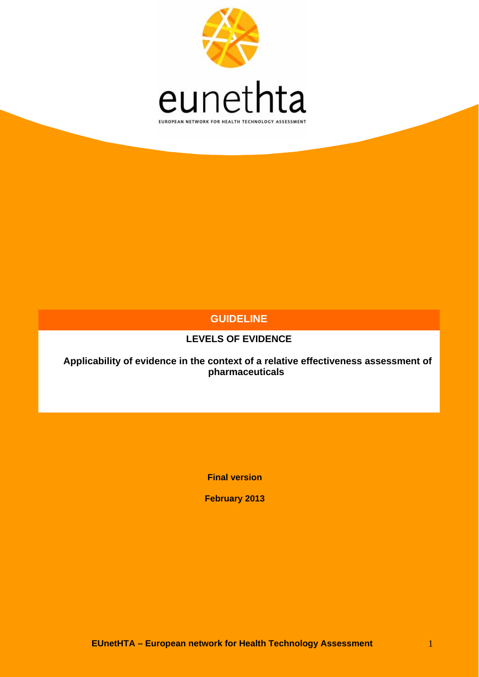

## **GUIDELINE**

## **LEVELS OF EVIDENCE**

 **Applicability of evidence in the context of a relative effectiveness assessment of pharmaceuticals** 

**Final version** 

**February 2013**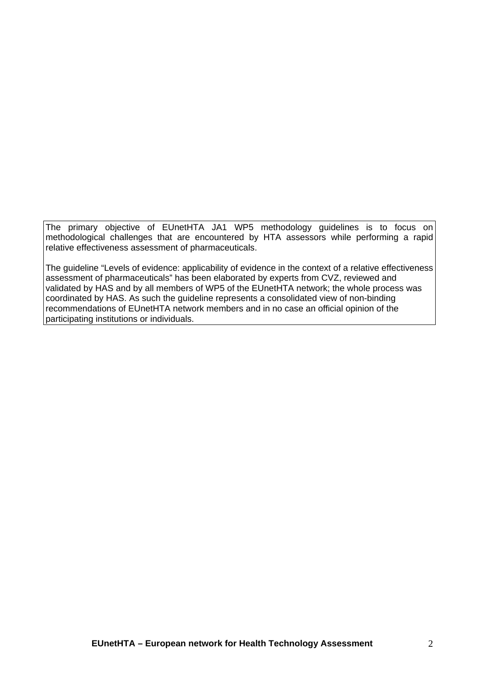The primary objective of EUnetHTA JA1 WP5 methodology guidelines is to focus on methodological challenges that are encountered by HTA assessors while performing a rapid relative effectiveness assessment of pharmaceuticals.

The guideline "Levels of evidence: applicability of evidence in the context of a relative effectiveness assessment of pharmaceuticals" has been elaborated by experts from CVZ, reviewed and validated by HAS and by all members of WP5 of the EUnetHTA network; the whole process was coordinated by HAS. As such the guideline represents a consolidated view of non-binding recommendations of EUnetHTA network members and in no case an official opinion of the participating institutions or individuals.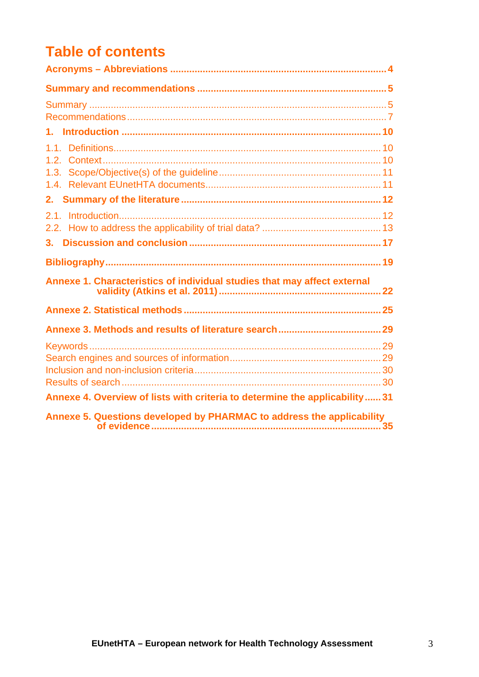# **Table of contents**

| Annexe 1. Characteristics of individual studies that may affect external     |  |
|------------------------------------------------------------------------------|--|
|                                                                              |  |
|                                                                              |  |
|                                                                              |  |
|                                                                              |  |
|                                                                              |  |
|                                                                              |  |
| Annexe 4. Overview of lists with criteria to determine the applicability  31 |  |
| Annexe 5. Questions developed by PHARMAC to address the applicability        |  |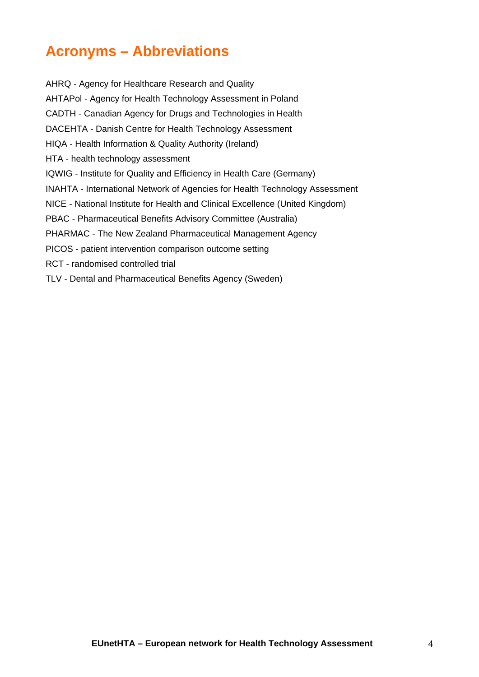# <span id="page-3-0"></span>**Acronyms – Abbreviations**

AHRQ - Agency for Healthcare Research and Quality AHTAPol - Agency for Health Technology Assessment in Poland CADTH - Canadian Agency for Drugs and Technologies in Health DACEHTA - Danish Centre for Health Technology Assessment HIQA - Health Information & Quality Authority (Ireland) HTA - health technology assessment IQWIG - Institute for Quality and Efficiency in Health Care (Germany) INAHTA - International Network of Agencies for Health Technology Assessment NICE - National Institute for Health and Clinical Excellence (United Kingdom) PBAC - Pharmaceutical Benefits Advisory Committee (Australia) PHARMAC - The New Zealand Pharmaceutical Management Agency PICOS - patient intervention comparison outcome setting RCT - randomised controlled trial TLV - Dental and Pharmaceutical Benefits Agency (Sweden)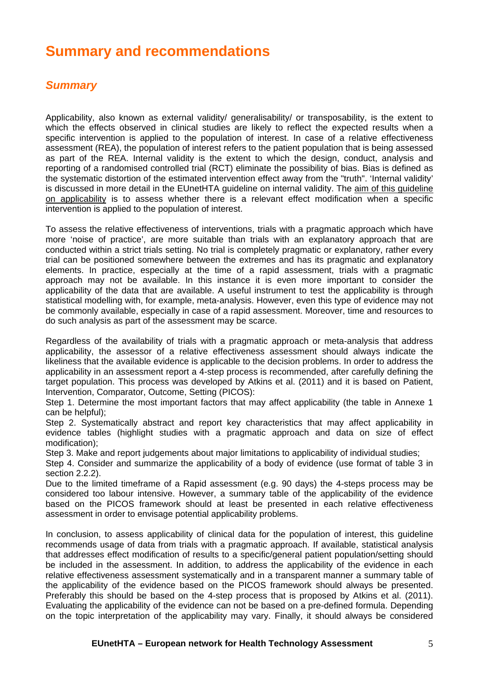# <span id="page-4-0"></span>**Summary and recommendations**

## <span id="page-4-1"></span>*Summary*

Applicability, also known as external validity/ generalisability/ or transposability, is the extent to which the effects observed in clinical studies are likely to reflect the expected results when a specific intervention is applied to the population of interest. In case of a relative effectiveness assessment (REA), the population of interest refers to the patient population that is being assessed as part of the REA. Internal validity is the extent to which the design, conduct, analysis and reporting of a randomised controlled trial (RCT) eliminate the possibility of bias. Bias is defined as the systematic distortion of the estimated intervention effect away from the "truth". 'Internal validity' is discussed in more detail in the EUnetHTA guideline on internal validity. The aim of this guideline on applicability is to assess whether there is a relevant effect modification when a specific intervention is applied to the population of interest.

To assess the relative effectiveness of interventions, trials with a pragmatic approach which have more 'noise of practice', are more suitable than trials with an explanatory approach that are conducted within a strict trials setting. No trial is completely pragmatic or explanatory, rather every trial can be positioned somewhere between the extremes and has its pragmatic and explanatory elements. In practice, especially at the time of a rapid assessment, trials with a pragmatic approach may not be available. In this instance it is even more important to consider the applicability of the data that are available. A useful instrument to test the applicability is through statistical modelling with, for example, meta-analysis. However, even this type of evidence may not be commonly available, especially in case of a rapid assessment. Moreover, time and resources to do such analysis as part of the assessment may be scarce.

Regardless of the availability of trials with a pragmatic approach or meta-analysis that address applicability, the assessor of a relative effectiveness assessment should always indicate the likeliness that the available evidence is applicable to the decision problems. In order to address the applicability in an assessment report a 4-step process is recommended, after carefully defining the target population. This process was developed by Atkins et al. (2011) and it is based on Patient, Intervention, Comparator, Outcome, Setting (PICOS):

Step 1. Determine the most important factors that may affect applicability (the table in Annexe 1 can be helpful);

Step 2. Systematically abstract and report key characteristics that may affect applicability in evidence tables (highlight studies with a pragmatic approach and data on size of effect modification);

Step 3. Make and report judgements about major limitations to applicability of individual studies;

Step 4. Consider and summarize the applicability of a body of evidence (use format of table 3 in section 2.2.2).

Due to the limited timeframe of a Rapid assessment (e.g. 90 days) the 4-steps process may be considered too labour intensive. However, a summary table of the applicability of the evidence based on the PICOS framework should at least be presented in each relative effectiveness assessment in order to envisage potential applicability problems.

In conclusion, to assess applicability of clinical data for the population of interest, this guideline recommends usage of data from trials with a pragmatic approach. If available, statistical analysis that addresses effect modification of results to a specific/general patient population/setting should be included in the assessment. In addition, to address the applicability of the evidence in each relative effectiveness assessment systematically and in a transparent manner a summary table of the applicability of the evidence based on the PICOS framework should always be presented. Preferably this should be based on the 4-step process that is proposed by Atkins et al. (2011). Evaluating the applicability of the evidence can not be based on a pre-defined formula. Depending on the topic interpretation of the applicability may vary. Finally, it should always be considered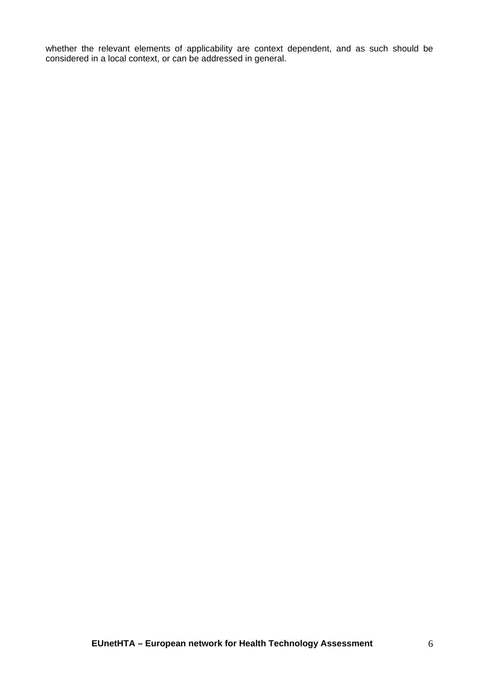whether the relevant elements of applicability are context dependent, and as such should be considered in a local context, or can be addressed in general.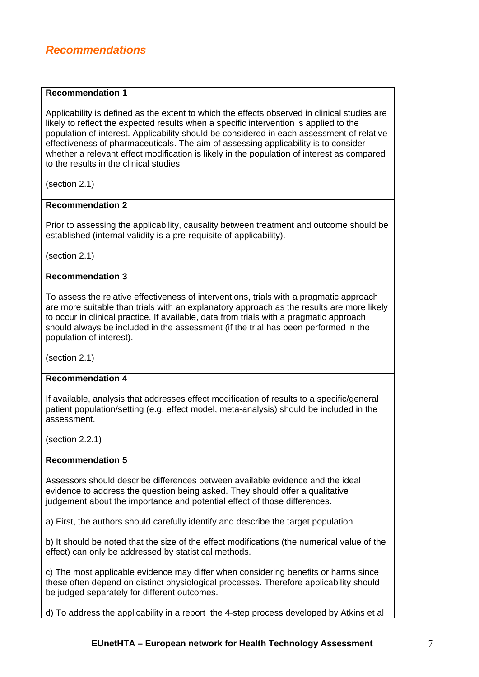## <span id="page-6-0"></span>*Recommendations*

### **Recommendation 1**

Applicability is defined as the extent to which the effects observed in clinical studies are likely to reflect the expected results when a specific intervention is applied to the population of interest. Applicability should be considered in each assessment of relative effectiveness of pharmaceuticals. The aim of assessing applicability is to consider whether a relevant effect modification is likely in the population of interest as compared to the results in the clinical studies.

(section 2.1)

### **Recommendation 2**

Prior to assessing the applicability, causality between treatment and outcome should be established (internal validity is a pre-requisite of applicability).

(section 2.1)

### **Recommendation 3**

To assess the relative effectiveness of interventions, trials with a pragmatic approach are more suitable than trials with an explanatory approach as the results are more likely to occur in clinical practice. If available, data from trials with a pragmatic approach should always be included in the assessment (if the trial has been performed in the population of interest).

(section 2.1)

### **Recommendation 4**

If available, analysis that addresses effect modification of results to a specific/general patient population/setting (e.g. effect model, meta-analysis) should be included in the assessment.

(section 2.2.1)

#### **Recommendation 5**

Assessors should describe differences between available evidence and the ideal evidence to address the question being asked. They should offer a qualitative judgement about the importance and potential effect of those differences.

a) First, the authors should carefully identify and describe the target population

b) It should be noted that the size of the effect modifications (the numerical value of the effect) can only be addressed by statistical methods.

c) The most applicable evidence may differ when considering benefits or harms since these often depend on distinct physiological processes. Therefore applicability should be judged separately for different outcomes.

d) To address the applicability in a report the 4-step process developed by Atkins et al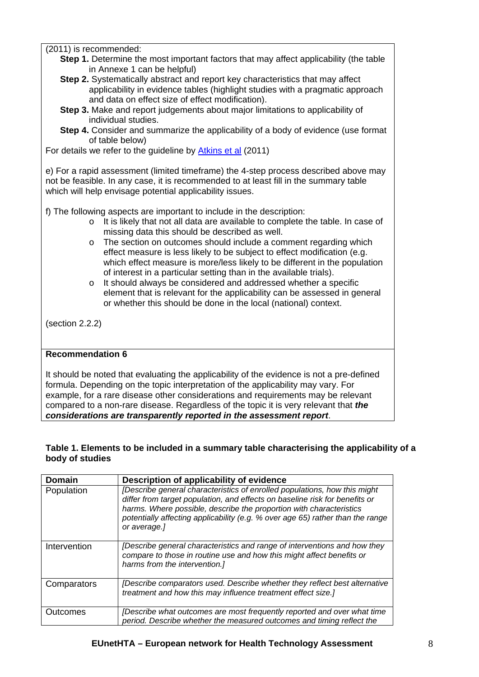(2011) is recommended:

- **Step 1.** Determine the most important factors that may affect applicability (the table in Annexe 1 can be helpful)
- **Step 2.** Systematically abstract and report key characteristics that may affect applicability in evidence tables (highlight studies with a pragmatic approach and data on effect size of effect modification).
- **Step 3.** Make and report judgements about major limitations to applicability of individual studies.
- **Step 4.** Consider and summarize the applicability of a body of evidence (use format of table below)

For details we refer to the guideline by [Atkins et al](http://www.effectivehealthcare.ahrq.gov/ehc/products/272/603/Methods%20Guide--Atkins--01-03-2011KM.pdf) (2011)

e) For a rapid assessment (limited timeframe) the 4-step process described above may not be feasible. In any case, it is recommended to at least fill in the summary table which will help envisage potential applicability issues.

f) The following aspects are important to include in the description:

- o It is likely that not all data are available to complete the table. In case of missing data this should be described as well.
- o The section on outcomes should include a comment regarding which effect measure is less likely to be subject to effect modification (e.g. which effect measure is more/less likely to be different in the population of interest in a particular setting than in the available trials).
- o It should always be considered and addressed whether a specific element that is relevant for the applicability can be assessed in general or whether this should be done in the local (national) context.

(section 2.2.2)

## **Recommendation 6**

It should be noted that evaluating the applicability of the evidence is not a pre-defined formula. Depending on the topic interpretation of the applicability may vary. For example, for a rare disease other considerations and requirements may be relevant compared to a non-rare disease. Regardless of the topic it is very relevant that *the considerations are transparently reported in the assessment report*.

### **Table 1. Elements to be included in a summary table characterising the applicability of a body of studies**

| <b>Domain</b> | Description of applicability of evidence                                                                                                                                                                                                                                                                                          |
|---------------|-----------------------------------------------------------------------------------------------------------------------------------------------------------------------------------------------------------------------------------------------------------------------------------------------------------------------------------|
| Population    | [Describe general characteristics of enrolled populations, how this might<br>differ from target population, and effects on baseline risk for benefits or<br>harms. Where possible, describe the proportion with characteristics<br>potentially affecting applicability (e.g. % over age 65) rather than the range<br>or average.] |
| Intervention  | [Describe general characteristics and range of interventions and how they<br>compare to those in routine use and how this might affect benefits or<br>harms from the intervention.]                                                                                                                                               |
| Comparators   | [Describe comparators used. Describe whether they reflect best alternative<br>treatment and how this may influence treatment effect size.]                                                                                                                                                                                        |
| Outcomes      | [Describe what outcomes are most frequently reported and over what time<br>period. Describe whether the measured outcomes and timing reflect the                                                                                                                                                                                  |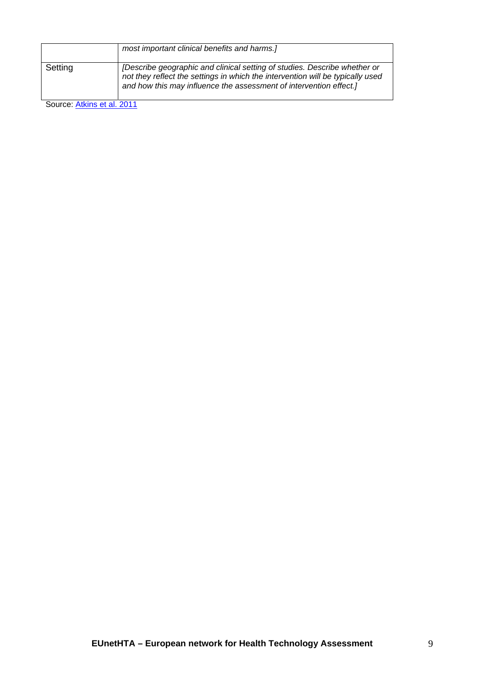|         | most important clinical benefits and harms.]                                                                                                                                                                                      |
|---------|-----------------------------------------------------------------------------------------------------------------------------------------------------------------------------------------------------------------------------------|
| Setting | [Describe geographic and clinical setting of studies. Describe whether or<br>not they reflect the settings in which the intervention will be typically used<br>and how this may influence the assessment of intervention effect.] |

Source: [Atkins et al. 2011](http://www.effectivehealthcare.ahrq.gov/ehc/products/272/603/Methods%20Guide--Atkins--01-03-2011KM.pdf)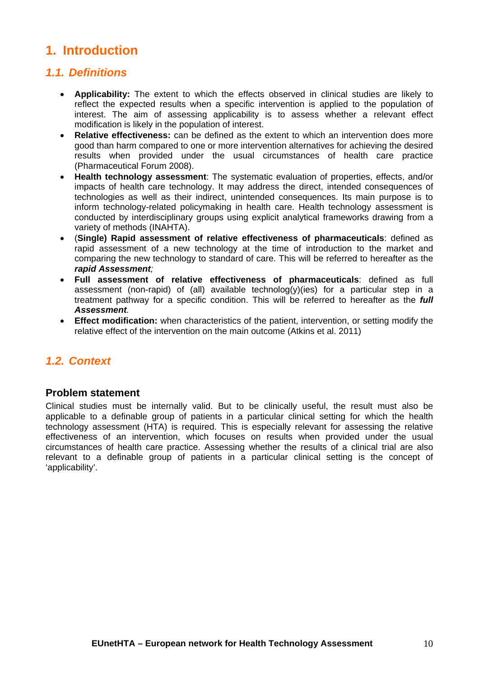# <span id="page-9-0"></span>**1. Introduction**

## <span id="page-9-1"></span>*1.1. Definitions*

- **Applicability:** The extent to which the effects observed in clinical studies are likely to reflect the expected results when a specific intervention is applied to the population of interest. The aim of assessing applicability is to assess whether a relevant effect modification is likely in the population of interest.
- **Relative effectiveness:** can be defined as the extent to which an intervention does more good than harm compared to one or more intervention alternatives for achieving the desired results when provided under the usual circumstances of health care practice (Pharmaceutical Forum 2008).
- **Health technology assessment**: The systematic evaluation of properties, effects, and/or impacts of health care technology. It may address the direct, intended consequences of technologies as well as their indirect, unintended consequences. Its main purpose is to inform technology-related policymaking in health care. Health technology assessment is conducted by interdisciplinary groups using explicit analytical frameworks drawing from a variety of methods (INAHTA).
- (**Single) Rapid assessment of relative effectiveness of pharmaceuticals**: defined as rapid assessment of a new technology at the time of introduction to the market and comparing the new technology to standard of care. This will be referred to hereafter as the *rapid Assessment;*
- **Full assessment of relative effectiveness of pharmaceuticals**: defined as full assessment (non-rapid) of (all) available technolog(y)(ies) for a particular step in a treatment pathway for a specific condition. This will be referred to hereafter as the *full Assessment.*
- **Effect modification:** when characteristics of the patient, intervention, or setting modify the relative effect of the intervention on the main outcome (Atkins et al. 2011)

## <span id="page-9-2"></span>*1.2. Context*

## **Problem statement**

Clinical studies must be internally valid. But to be clinically useful, the result must also be applicable to a definable group of patients in a particular clinical setting for which the health technology assessment (HTA) is required. This is especially relevant for assessing the relative effectiveness of an intervention, which focuses on results when provided under the usual circumstances of health care practice. Assessing whether the results of a clinical trial are also relevant to a definable group of patients in a particular clinical setting is the concept of 'applicability'.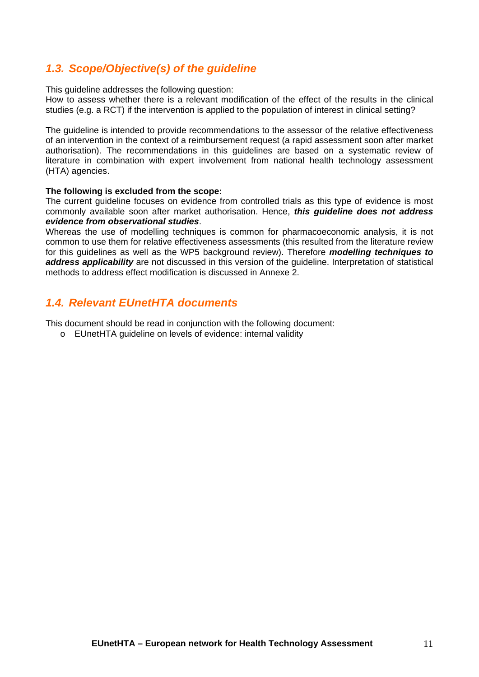## <span id="page-10-0"></span>*1.3. Scope/Objective(s) of the guideline*

This guideline addresses the following question:

How to assess whether there is a relevant modification of the effect of the results in the clinical studies (e.g. a RCT) if the intervention is applied to the population of interest in clinical setting?

The guideline is intended to provide recommendations to the assessor of the relative effectiveness of an intervention in the context of a reimbursement request (a rapid assessment soon after market authorisation). The recommendations in this guidelines are based on a systematic review of literature in combination with expert involvement from national health technology assessment (HTA) agencies.

### **The following is excluded from the scope:**

The current guideline focuses on evidence from controlled trials as this type of evidence is most commonly available soon after market authorisation. Hence, *this guideline does not address evidence from observational studies*.

Whereas the use of modelling techniques is common for pharmacoeconomic analysis, it is not common to use them for relative effectiveness assessments (this resulted from the literature review for this guidelines as well as the WP5 background review). Therefore *modelling techniques to address applicability* are not discussed in this version of the guideline. Interpretation of statistical methods to address effect modification is discussed in Annexe 2.

## <span id="page-10-1"></span>*1.4. Relevant EUnetHTA documents*

This document should be read in conjunction with the following document:

o EUnetHTA guideline on levels of evidence: internal validity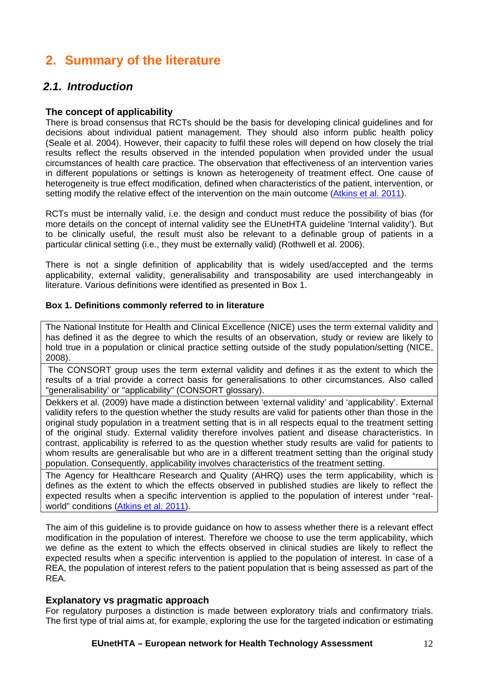# <span id="page-11-0"></span>**2. Summary of the literature**

## <span id="page-11-1"></span>*2.1. Introduction*

## **The concept of applicability**

There is broad consensus that RCTs should be the basis for developing clinical guidelines and for decisions about individual patient management. They should also inform public health policy (Seale et al. 2004). However, their capacity to fulfil these roles will depend on how closely the trial results reflect the results observed in the intended population when provided under the usual circumstances of health care practice. The observation that effectiveness of an intervention varies in different populations or settings is known as heterogeneity of treatment effect. One cause of heterogeneity is true effect modification, defined when characteristics of the patient, intervention, or setting modify the relative effect of the intervention on the main outcome [\(Atkins et al. 2011\)](http://www.effectivehealthcare.ahrq.gov/ehc/products/272/603/Methods%20Guide--Atkins--01-03-2011KM.pdf).

RCTs must be internally valid, i.e. the design and conduct must reduce the possibility of bias (for more details on the concept of internal validity see the EUnetHTA guideline 'Internal validity'). But to be clinically useful, the result must also be relevant to a definable group of patients in a particular clinical setting (i.e., they must be externally valid) (Rothwell et al. 2006).

There is not a single definition of applicability that is widely used/accepted and the terms applicability, external validity, generalisability and transposability are used interchangeably in literature. Various definitions were identified as presented in Box 1.

### **Box 1. Definitions commonly referred to in literature**

The National Institute for Health and Clinical Excellence (NICE) uses the term external validity and has defined it as the degree to which the results of an observation, study or review are likely to hold true in a population or clinical practice setting outside of the study population/setting (NICE, 2008).

 The CONSORT group uses the term external validity and defines it as the extent to which the results of a trial provide a correct basis for generalisations to other circumstances. Also called "generalisability' or "applicability" (CONSORT glossary).

Dekkers et al. (2009) have made a distinction between 'external validity' and 'applicability'. External validity refers to the question whether the study results are valid for patients other than those in the original study population in a treatment setting that is in all respects equal to the treatment setting of the original study. External validity therefore involves patient and disease characteristics. In contrast, applicability is referred to as the question whether study results are valid for patients to whom results are generalisable but who are in a different treatment setting than the original study population. Consequently, applicability involves characteristics of the treatment setting.

The Agency for Healthcare Research and Quality (AHRQ) uses the term applicability, which is defines as the extent to which the effects observed in published studies are likely to reflect the expected results when a specific intervention is applied to the population of interest under "realworld" conditions ([Atkins et al. 2011](http://www.effectivehealthcare.ahrq.gov/ehc/products/272/603/Methods%20Guide--Atkins--01-03-2011KM.pdf)).

The aim of this guideline is to provide guidance on how to assess whether there is a relevant effect modification in the population of interest. Therefore we choose to use the term applicability, which we define as the extent to which the effects observed in clinical studies are likely to reflect the expected results when a specific intervention is applied to the population of interest. In case of a REA, the population of interest refers to the patient population that is being assessed as part of the REA.

### **Explanatory vs pragmatic approach**

For regulatory purposes a distinction is made between exploratory trials and confirmatory trials. The first type of trial aims at, for example, exploring the use for the targeted indication or estimating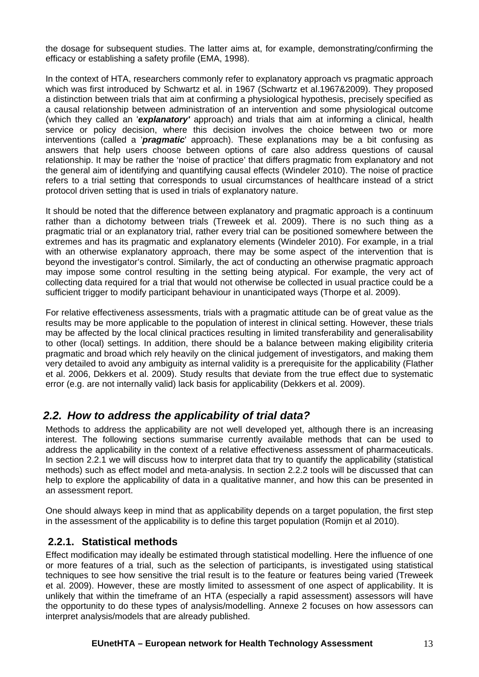the dosage for subsequent studies. The latter aims at, for example, demonstrating/confirming the efficacy or establishing a safety profile (EMA, 1998).

In the context of HTA, researchers commonly refer to explanatory approach vs pragmatic approach which was first introduced by Schwartz et al. in 1967 (Schwartz et al.1967&2009). They proposed a distinction between trials that aim at confirming a physiological hypothesis, precisely specified as a causal relationship between administration of an intervention and some physiological outcome (which they called an '*explanatory'* approach) and trials that aim at informing a clinical, health service or policy decision, where this decision involves the choice between two or more interventions (called a '*pragmatic*' approach). These explanations may be a bit confusing as answers that help users choose between options of care also address questions of causal relationship. It may be rather the 'noise of practice' that differs pragmatic from explanatory and not the general aim of identifying and quantifying causal effects (Windeler 2010). The noise of practice refers to a trial setting that corresponds to usual circumstances of healthcare instead of a strict protocol driven setting that is used in trials of explanatory nature.

It should be noted that the difference between explanatory and pragmatic approach is a continuum rather than a dichotomy between trials (Treweek et al. 2009). There is no such thing as a pragmatic trial or an explanatory trial, rather every trial can be positioned somewhere between the extremes and has its pragmatic and explanatory elements (Windeler 2010). For example, in a trial with an otherwise explanatory approach, there may be some aspect of the intervention that is beyond the investigator's control. Similarly, the act of conducting an otherwise pragmatic approach may impose some control resulting in the setting being atypical. For example, the very act of collecting data required for a trial that would not otherwise be collected in usual practice could be a sufficient trigger to modify participant behaviour in unanticipated ways (Thorpe et al. 2009).

For relative effectiveness assessments, trials with a pragmatic attitude can be of great value as the results may be more applicable to the population of interest in clinical setting. However, these trials may be affected by the local clinical practices resulting in limited transferability and generalisability to other (local) settings. In addition, there should be a balance between making eligibility criteria pragmatic and broad which rely heavily on the clinical judgement of investigators, and making them very detailed to avoid any ambiguity as internal validity is a prerequisite for the applicability (Flather et al. 2006, Dekkers et al. 2009). Study results that deviate from the true effect due to systematic error (e.g. are not internally valid) lack basis for applicability (Dekkers et al. 2009).

## <span id="page-12-0"></span>*2.2. How to address the applicability of trial data?*

Methods to address the applicability are not well developed yet, although there is an increasing interest. The following sections summarise currently available methods that can be used to address the applicability in the context of a relative effectiveness assessment of pharmaceuticals. In section 2.2.1 we will discuss how to interpret data that try to quantify the applicability (statistical methods) such as effect model and meta-analysis. In section 2.2.2 tools will be discussed that can help to explore the applicability of data in a qualitative manner, and how this can be presented in an assessment report.

One should always keep in mind that as applicability depends on a target population, the first step in the assessment of the applicability is to define this target population (Romijn et al 2010).

## **2.2.1. Statistical methods**

Effect modification may ideally be estimated through statistical modelling. Here the influence of one or more features of a trial, such as the selection of participants, is investigated using statistical techniques to see how sensitive the trial result is to the feature or features being varied (Treweek et al. 2009). However, these are mostly limited to assessment of one aspect of applicability. It is unlikely that within the timeframe of an HTA (especially a rapid assessment) assessors will have the opportunity to do these types of analysis/modelling. Annexe 2 focuses on how assessors can interpret analysis/models that are already published.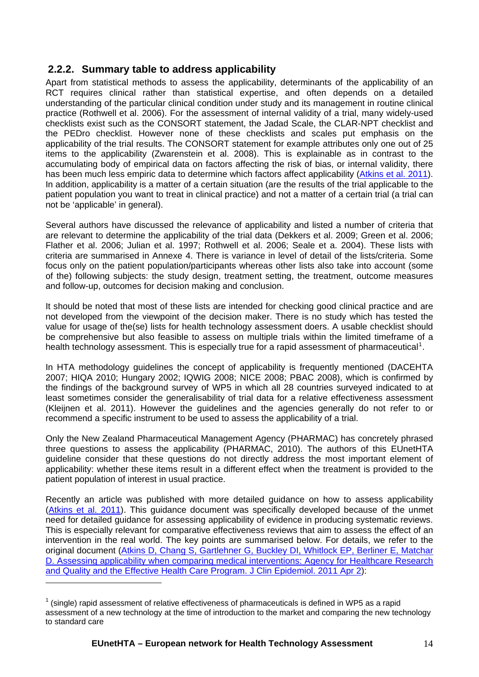## **2.2.2. Summary table to address applicability**

Apart from statistical methods to assess the applicability, determinants of the applicability of an RCT requires clinical rather than statistical expertise, and often depends on a detailed understanding of the particular clinical condition under study and its management in routine clinical practice (Rothwell et al. 2006). For the assessment of internal validity of a trial, many widely-used checklists exist such as the CONSORT statement, the Jadad Scale, the CLAR-NPT checklist and the PEDro checklist. However none of these checklists and scales put emphasis on the applicability of the trial results. The CONSORT statement for example attributes only one out of 25 items to the applicability (Zwarenstein et al. 2008). This is explainable as in contrast to the accumulating body of empirical data on factors affecting the risk of bias, or internal validity, there has been much less empiric data to determine which factors affect applicability [\(Atkins et al. 2011\)](http://www.effectivehealthcare.ahrq.gov/ehc/products/272/603/Methods%20Guide--Atkins--01-03-2011KM.pdf). In addition, applicability is a matter of a certain situation (are the results of the trial applicable to the patient population you want to treat in clinical practice) and not a matter of a certain trial (a trial can not be 'applicable' in general).

Several authors have discussed the relevance of applicability and listed a number of criteria that are relevant to determine the applicability of the trial data (Dekkers et al. 2009; Green et al. 2006; Flather et al. 2006; Julian et al. 1997; Rothwell et al. 2006; Seale et a. 2004). These lists with criteria are summarised in Annexe 4. There is variance in level of detail of the lists/criteria. Some focus only on the patient population/participants whereas other lists also take into account (some of the) following subjects: the study design, treatment setting, the treatment, outcome measures and follow-up, outcomes for decision making and conclusion.

It should be noted that most of these lists are intended for checking good clinical practice and are not developed from the viewpoint of the decision maker. There is no study which has tested the value for usage of the(se) lists for health technology assessment doers. A usable checklist should be comprehensive but also feasible to assess on multiple trials within the limited timeframe of a health technology assessment. This is especially true for a rapid assessment of pharmaceutical<sup>[1](#page-13-0)</sup>.

In HTA methodology guidelines the concept of applicability is frequently mentioned (DACEHTA 2007; HIQA 2010; Hungary 2002; IQWIG 2008; NICE 2008; PBAC 2008), which is confirmed by the findings of the background survey of WP5 in which all 28 countries surveyed indicated to at least sometimes consider the generalisability of trial data for a relative effectiveness assessment (Kleijnen et al. 2011). However the guidelines and the agencies generally do not refer to or recommend a specific instrument to be used to assess the applicability of a trial.

Only the New Zealand Pharmaceutical Management Agency (PHARMAC) has concretely phrased three questions to assess the applicability (PHARMAC, 2010). The authors of this EUnetHTA guideline consider that these questions do not directly address the most important element of applicability: whether these items result in a different effect when the treatment is provided to the patient population of interest in usual practice.

Recently an article was published with more detailed guidance on how to assess applicability [\(Atkins et al. 2011](http://www.effectivehealthcare.ahrq.gov/ehc/products/272/603/Methods%20Guide--Atkins--01-03-2011KM.pdf)). This guidance document was specifically developed because of the unmet need for detailed guidance for assessing applicability of evidence in producing systematic reviews. This is especially relevant for comparative effectiveness reviews that aim to assess the effect of an intervention in the real world. The key points are summarised below. For details, we refer to the original document ([Atkins D, Chang S, Gartlehner G, Buckley DI, Whitlock EP, Berliner E, Matchar](http://www.effectivehealthcare.ahrq.gov/ehc/products/272/603/Methods%20Guide--Atkins--01-03-2011KM.pdf)  [D. Assessing applicability when comparing medical interventions: Agency for Healthcare Research](http://www.effectivehealthcare.ahrq.gov/ehc/products/272/603/Methods%20Guide--Atkins--01-03-2011KM.pdf)  [and Quality and the Effective Health Care Program. J Clin Epidemiol. 2011 Apr 2](http://www.effectivehealthcare.ahrq.gov/ehc/products/272/603/Methods%20Guide--Atkins--01-03-2011KM.pdf)):

 $\overline{a}$ 

<span id="page-13-0"></span> $1$  (single) rapid assessment of relative effectiveness of pharmaceuticals is defined in WP5 as a rapid assessment of a new technology at the time of introduction to the market and comparing the new technology to standard care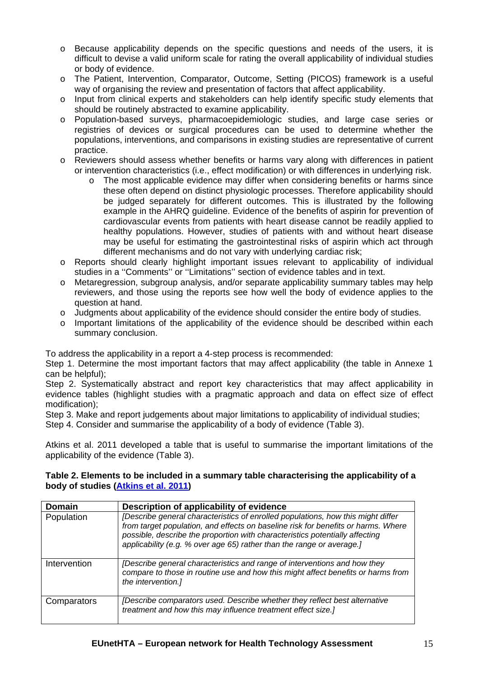- o Because applicability depends on the specific questions and needs of the users, it is difficult to devise a valid uniform scale for rating the overall applicability of individual studies or body of evidence.
- o The Patient, Intervention, Comparator, Outcome, Setting (PICOS) framework is a useful way of organising the review and presentation of factors that affect applicability.
- o Input from clinical experts and stakeholders can help identify specific study elements that should be routinely abstracted to examine applicability.
- o Population-based surveys, pharmacoepidemiologic studies, and large case series or registries of devices or surgical procedures can be used to determine whether the populations, interventions, and comparisons in existing studies are representative of current practice.
- o Reviewers should assess whether benefits or harms vary along with differences in patient or intervention characteristics (i.e., effect modification) or with differences in underlying risk.
	- o The most applicable evidence may differ when considering benefits or harms since these often depend on distinct physiologic processes. Therefore applicability should be judged separately for different outcomes. This is illustrated by the following example in the AHRQ guideline. Evidence of the benefits of aspirin for prevention of cardiovascular events from patients with heart disease cannot be readily applied to healthy populations. However, studies of patients with and without heart disease may be useful for estimating the gastrointestinal risks of aspirin which act through different mechanisms and do not vary with underlying cardiac risk;
- o Reports should clearly highlight important issues relevant to applicability of individual studies in a ''Comments'' or ''Limitations'' section of evidence tables and in text.
- o Metaregression, subgroup analysis, and/or separate applicability summary tables may help reviewers, and those using the reports see how well the body of evidence applies to the question at hand.
- $\circ$  Judgments about applicability of the evidence should consider the entire body of studies.
- o Important limitations of the applicability of the evidence should be described within each summary conclusion.

To address the applicability in a report a 4-step process is recommended:

Step 1. Determine the most important factors that may affect applicability (the table in Annexe 1 can be helpful);

Step 2. Systematically abstract and report key characteristics that may affect applicability in evidence tables (highlight studies with a pragmatic approach and data on effect size of effect modification);

Step 3. Make and report judgements about major limitations to applicability of individual studies; Step 4. Consider and summarise the applicability of a body of evidence (Table 3).

Atkins et al. 2011 developed a table that is useful to summarise the important limitations of the applicability of the evidence (Table 3).

### **Table 2. Elements to be included in a summary table characterising the applicability of a body of studies ([Atkins et al. 2011\)](http://www.effectivehealthcare.ahrq.gov/ehc/products/272/603/Methods%20Guide--Atkins--01-03-2011KM.pdf)**

| <b>Domain</b> | Description of applicability of evidence                                                                                                                                                                                                                                                                                       |
|---------------|--------------------------------------------------------------------------------------------------------------------------------------------------------------------------------------------------------------------------------------------------------------------------------------------------------------------------------|
| Population    | [Describe general characteristics of enrolled populations, how this might differ<br>from target population, and effects on baseline risk for benefits or harms. Where<br>possible, describe the proportion with characteristics potentially affecting<br>applicability (e.g. % over age 65) rather than the range or average.] |
| Intervention  | [Describe general characteristics and range of interventions and how they<br>compare to those in routine use and how this might affect benefits or harms from<br>the intervention.]                                                                                                                                            |
| Comparators   | [Describe comparators used. Describe whether they reflect best alternative<br>treatment and how this may influence treatment effect size.]                                                                                                                                                                                     |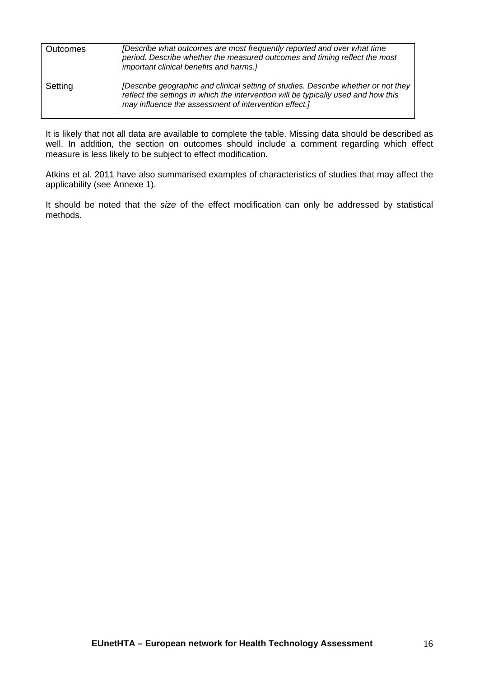| Outcomes | [Describe what outcomes are most frequently reported and over what time<br>period. Describe whether the measured outcomes and timing reflect the most<br>important clinical benefits and harms.]                                  |
|----------|-----------------------------------------------------------------------------------------------------------------------------------------------------------------------------------------------------------------------------------|
| Setting  | [Describe geographic and clinical setting of studies. Describe whether or not they<br>reflect the settings in which the intervention will be typically used and how this<br>may influence the assessment of intervention effect.] |

It is likely that not all data are available to complete the table. Missing data should be described as well. In addition, the section on outcomes should include a comment regarding which effect measure is less likely to be subject to effect modification.

Atkins et al. 2011 have also summarised examples of characteristics of studies that may affect the applicability (see Annexe 1).

It should be noted that the *size* of the effect modification can only be addressed by statistical methods.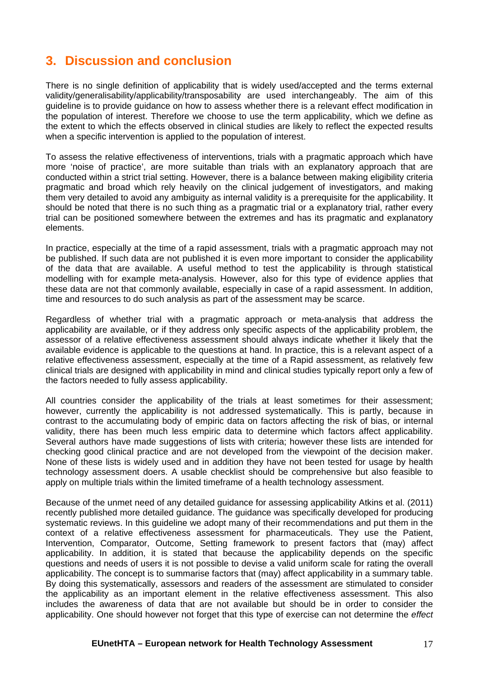# <span id="page-16-0"></span>**3. Discussion and conclusion**

There is no single definition of applicability that is widely used/accepted and the terms external validity/generalisability/applicability/transposability are used interchangeably. The aim of this guideline is to provide guidance on how to assess whether there is a relevant effect modification in the population of interest. Therefore we choose to use the term applicability, which we define as the extent to which the effects observed in clinical studies are likely to reflect the expected results when a specific intervention is applied to the population of interest.

To assess the relative effectiveness of interventions, trials with a pragmatic approach which have more 'noise of practice', are more suitable than trials with an explanatory approach that are conducted within a strict trial setting. However, there is a balance between making eligibility criteria pragmatic and broad which rely heavily on the clinical judgement of investigators, and making them very detailed to avoid any ambiguity as internal validity is a prerequisite for the applicability. It should be noted that there is no such thing as a pragmatic trial or a explanatory trial, rather every trial can be positioned somewhere between the extremes and has its pragmatic and explanatory elements.

In practice, especially at the time of a rapid assessment, trials with a pragmatic approach may not be published. If such data are not published it is even more important to consider the applicability of the data that are available. A useful method to test the applicability is through statistical modelling with for example meta-analysis. However, also for this type of evidence applies that these data are not that commonly available, especially in case of a rapid assessment. In addition, time and resources to do such analysis as part of the assessment may be scarce.

Regardless of whether trial with a pragmatic approach or meta-analysis that address the applicability are available, or if they address only specific aspects of the applicability problem, the assessor of a relative effectiveness assessment should always indicate whether it likely that the available evidence is applicable to the questions at hand. In practice, this is a relevant aspect of a relative effectiveness assessment, especially at the time of a Rapid assessment, as relatively few clinical trials are designed with applicability in mind and clinical studies typically report only a few of the factors needed to fully assess applicability.

All countries consider the applicability of the trials at least sometimes for their assessment; however, currently the applicability is not addressed systematically. This is partly, because in contrast to the accumulating body of empiric data on factors affecting the risk of bias, or internal validity, there has been much less empiric data to determine which factors affect applicability. Several authors have made suggestions of lists with criteria; however these lists are intended for checking good clinical practice and are not developed from the viewpoint of the decision maker. None of these lists is widely used and in addition they have not been tested for usage by health technology assessment doers. A usable checklist should be comprehensive but also feasible to apply on multiple trials within the limited timeframe of a health technology assessment.

Because of the unmet need of any detailed guidance for assessing applicability Atkins et al. (2011) recently published more detailed guidance. The guidance was specifically developed for producing systematic reviews. In this guideline we adopt many of their recommendations and put them in the context of a relative effectiveness assessment for pharmaceuticals. They use the Patient, Intervention, Comparator, Outcome, Setting framework to present factors that (may) affect applicability. In addition, it is stated that because the applicability depends on the specific questions and needs of users it is not possible to devise a valid uniform scale for rating the overall applicability. The concept is to summarise factors that (may) affect applicability in a summary table. By doing this systematically, assessors and readers of the assessment are stimulated to consider the applicability as an important element in the relative effectiveness assessment. This also includes the awareness of data that are not available but should be in order to consider the applicability. One should however not forget that this type of exercise can not determine the *effect*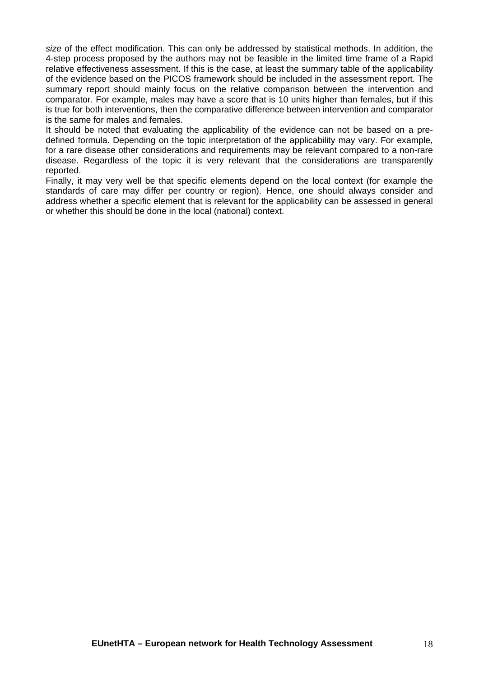*size* of the effect modification. This can only be addressed by statistical methods. In addition, the 4-step process proposed by the authors may not be feasible in the limited time frame of a Rapid relative effectiveness assessment. If this is the case, at least the summary table of the applicability of the evidence based on the PICOS framework should be included in the assessment report. The summary report should mainly focus on the relative comparison between the intervention and comparator. For example, males may have a score that is 10 units higher than females, but if this is true for both interventions, then the comparative difference between intervention and comparator is the same for males and females.

It should be noted that evaluating the applicability of the evidence can not be based on a predefined formula. Depending on the topic interpretation of the applicability may vary. For example, for a rare disease other considerations and requirements may be relevant compared to a non-rare disease. Regardless of the topic it is very relevant that the considerations are transparently reported.

Finally, it may very well be that specific elements depend on the local context (for example the standards of care may differ per country or region). Hence, one should always consider and address whether a specific element that is relevant for the applicability can be assessed in general or whether this should be done in the local (national) context.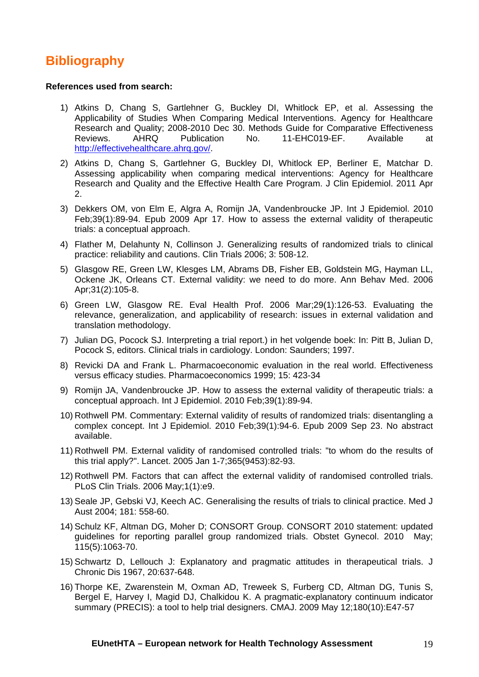# <span id="page-18-0"></span>**Bibliography**

#### **References used from search:**

- 1) Atkins D, Chang S, Gartlehner G, Buckley DI, Whitlock EP, et al. Assessing the Applicability of Studies When Comparing Medical Interventions. Agency for Healthcare Research and Quality; 2008-2010 Dec 30. Methods Guide for Comparative Effectiveness Reviews. AHRQ Publication No. 11-EHC019-EF. Available at [http://effectivehealthcare.ahrq.gov/.](http://effectivehealthcare.ahrq.gov/)
- 2) Atkins D, Chang S, Gartlehner G, Buckley DI, Whitlock EP, Berliner E, Matchar D. Assessing applicability when comparing medical interventions: Agency for Healthcare Research and Quality and the Effective Health Care Program. J Clin Epidemiol. 2011 Apr 2.
- 3) Dekkers OM, von Elm E, Algra A, Romijn JA, Vandenbroucke JP. Int J Epidemiol. 2010 Feb;39(1):89-94. Epub 2009 Apr 17. How to assess the external validity of therapeutic trials: a conceptual approach.
- 4) Flather M, Delahunty N, Collinson J. Generalizing results of randomized trials to clinical practice: reliability and cautions. Clin Trials 2006; 3: 508-12.
- 5) Glasgow RE, Green LW, Klesges LM, Abrams DB, Fisher EB, Goldstein MG, Hayman LL, Ockene JK, Orleans CT. External validity: we need to do more. Ann Behav Med. 2006 Apr;31(2):105-8.
- 6) Green LW, Glasgow RE. Eval Health Prof. 2006 Mar;29(1):126-53. Evaluating the relevance, generalization, and applicability of research: issues in external validation and translation methodology.
- 7) Julian DG, Pocock SJ. Interpreting a trial report.) in het volgende boek: In: Pitt B, Julian D, Pocock S, editors. Clinical trials in cardiology. London: Saunders; 1997.
- 8) Revicki DA and Frank L. Pharmacoeconomic evaluation in the real world. Effectiveness versus efficacy studies. Pharmacoeconomics 1999; 15: 423-34
- 9) Romijn JA, Vandenbroucke JP. How to assess the external validity of therapeutic trials: a conceptual approach. Int J Epidemiol. 2010 Feb;39(1):89-94.
- 10) Rothwell PM. Commentary: External validity of results of randomized trials: disentangling a complex concept. Int J Epidemiol. 2010 Feb;39(1):94-6. Epub 2009 Sep 23. No abstract available.
- 11) Rothwell PM. External validity of randomised controlled trials: "to whom do the results of this trial apply?". Lancet. 2005 Jan 1-7;365(9453):82-93.
- 12) Rothwell PM. Factors that can affect the external validity of randomised controlled trials. PLoS Clin Trials. 2006 May;1(1):e9.
- 13) Seale JP, Gebski VJ, Keech AC. Generalising the results of trials to clinical practice. Med J Aust 2004; 181: 558-60.
- 14) Schulz KF, Altman DG, Moher D; CONSORT Group. CONSORT 2010 statement: updated guidelines for reporting parallel group randomized trials. Obstet Gynecol. 2010 May; 115(5):1063-70.
- 15) Schwartz D, Lellouch J: Explanatory and pragmatic attitudes in therapeutical trials. J Chronic Dis 1967, 20:637-648.
- 16) Thorpe KE, Zwarenstein M, Oxman AD, Treweek S, Furberg CD, Altman DG, Tunis S, Bergel E, Harvey I, Magid DJ, Chalkidou K. A pragmatic-explanatory continuum indicator summary (PRECIS): a tool to help trial designers. CMAJ. 2009 May 12;180(10):E47-57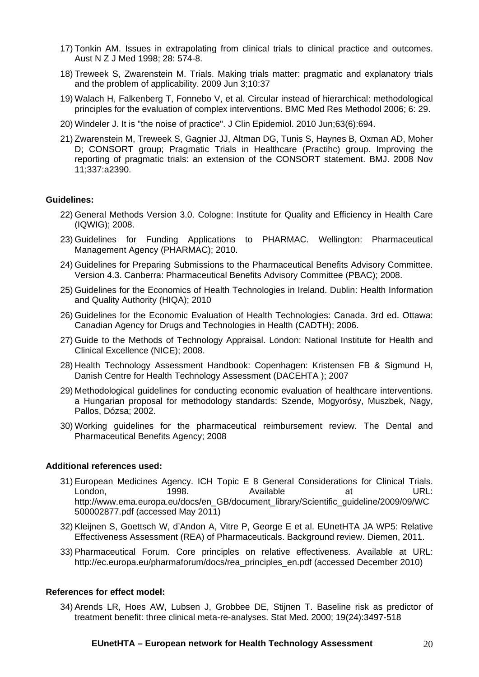- 17) Tonkin AM. Issues in extrapolating from clinical trials to clinical practice and outcomes. Aust N Z J Med 1998; 28: 574-8.
- 18) Treweek S, Zwarenstein M. Trials. Making trials matter: pragmatic and explanatory trials and the problem of applicability. 2009 Jun 3;10:37
- 19) Walach H, Falkenberg T, Fonnebo V, et al. Circular instead of hierarchical: methodological principles for the evaluation of complex interventions. BMC Med Res Methodol 2006; 6: 29.
- 20) Windeler J. It is "the noise of practice". J Clin Epidemiol. 2010 Jun;63(6):694.
- 21) Zwarenstein M, Treweek S, Gagnier JJ, Altman DG, Tunis S, Haynes B, Oxman AD, Moher D; CONSORT group; Pragmatic Trials in Healthcare (Practihc) group. Improving the reporting of pragmatic trials: an extension of the CONSORT statement. BMJ. 2008 Nov 11;337:a2390.

#### **Guidelines:**

- 22) General Methods Version 3.0. Cologne: Institute for Quality and Efficiency in Health Care (IQWIG); 2008.
- 23) Guidelines for Funding Applications to PHARMAC. Wellington: Pharmaceutical Management Agency (PHARMAC); 2010.
- 24) Guidelines for Preparing Submissions to the Pharmaceutical Benefits Advisory Committee. Version 4.3. Canberra: Pharmaceutical Benefits Advisory Committee (PBAC); 2008.
- 25) Guidelines for the Economics of Health Technologies in Ireland. Dublin: Health Information and Quality Authority (HIQA); 2010
- 26) Guidelines for the Economic Evaluation of Health Technologies: Canada. 3rd ed. Ottawa: Canadian Agency for Drugs and Technologies in Health (CADTH); 2006.
- 27) Guide to the Methods of Technology Appraisal. London: National Institute for Health and Clinical Excellence (NICE); 2008.
- 28) Health Technology Assessment Handbook: Copenhagen: Kristensen FB & Sigmund H, Danish Centre for Health Technology Assessment (DACEHTA ); 2007
- 29) Methodological guidelines for conducting economic evaluation of healthcare interventions. a Hungarian proposal for methodology standards: Szende, Mogyorósy, Muszbek, Nagy, Pallos, Dózsa; 2002.
- 30) Working guidelines for the pharmaceutical reimbursement review. The Dental and Pharmaceutical Benefits Agency; 2008

#### **Additional references used:**

- 31) European Medicines Agency. ICH Topic E 8 General Considerations for Clinical Trials. London, 1998. Available at URL: http://www.ema.europa.eu/docs/en\_GB/document\_library/Scientific\_guideline/2009/09/WC 500002877.pdf (accessed May 2011)
- 32) Kleijnen S, Goettsch W, d'Andon A, Vitre P, George E et al. EUnetHTA JA WP5: Relative Effectiveness Assessment (REA) of Pharmaceuticals. Background review. Diemen, 2011.
- 33) Pharmaceutical Forum. Core principles on relative effectiveness. Available at URL: http://ec.europa.eu/pharmaforum/docs/rea\_principles\_en.pdf (accessed December 2010)

#### **References for effect model:**

34) Arends LR, Hoes AW, Lubsen J, Grobbee DE, Stijnen T. Baseline risk as predictor of treatment benefit: three clinical meta-re-analyses. Stat Med. 2000; 19(24):3497-518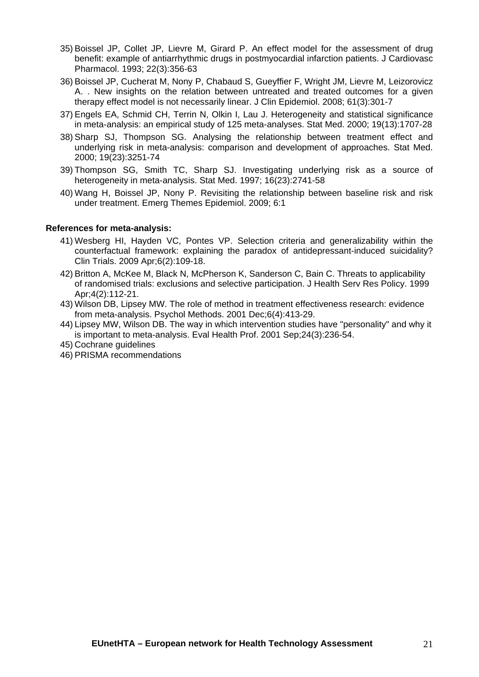- 35) Boissel JP, Collet JP, Lievre M, Girard P. An effect model for the assessment of drug benefit: example of antiarrhythmic drugs in postmyocardial infarction patients. J Cardiovasc Pharmacol. 1993; 22(3):356-63
- 36) Boissel JP, Cucherat M, Nony P, Chabaud S, Gueyffier F, Wright JM, Lievre M, Leizorovicz A. . New insights on the relation between untreated and treated outcomes for a given therapy effect model is not necessarily linear. J Clin Epidemiol. 2008; 61(3):301-7
- 37) Engels EA, Schmid CH, Terrin N, Olkin I, Lau J. Heterogeneity and statistical significance in meta-analysis: an empirical study of 125 meta-analyses. Stat Med. 2000; 19(13):1707-28
- 38) Sharp SJ, Thompson SG. Analysing the relationship between treatment effect and underlying risk in meta-analysis: comparison and development of approaches. Stat Med. 2000; 19(23):3251-74
- 39) Thompson SG, Smith TC, Sharp SJ. Investigating underlying risk as a source of heterogeneity in meta-analysis. Stat Med. 1997; 16(23):2741-58
- 40) Wang H, Boissel JP, Nony P. Revisiting the relationship between baseline risk and risk under treatment. Emerg Themes Epidemiol. 2009; 6:1

### **References for meta-analysis:**

- 41) Wesberg HI, Hayden VC, Pontes VP. Selection criteria and generalizability within the counterfactual framework: explaining the paradox of antidepressant-induced suicidality? Clin Trials. 2009 Apr;6(2):109-18.
- 42) Britton A, McKee M, Black N, McPherson K, Sanderson C, Bain C. Threats to applicability of randomised trials: exclusions and selective participation. J Health Serv Res Policy. 1999 Apr;4(2):112-21.
- 43) Wilson DB, Lipsey MW. The role of method in treatment effectiveness research: evidence from meta-analysis. Psychol Methods. 2001 Dec;6(4):413-29.
- 44) Lipsey MW, Wilson DB. The way in which intervention studies have "personality" and why it is important to meta-analysis. Eval Health Prof. 2001 Sep;24(3):236-54.
- 45) Cochrane guidelines
- 46) PRISMA recommendations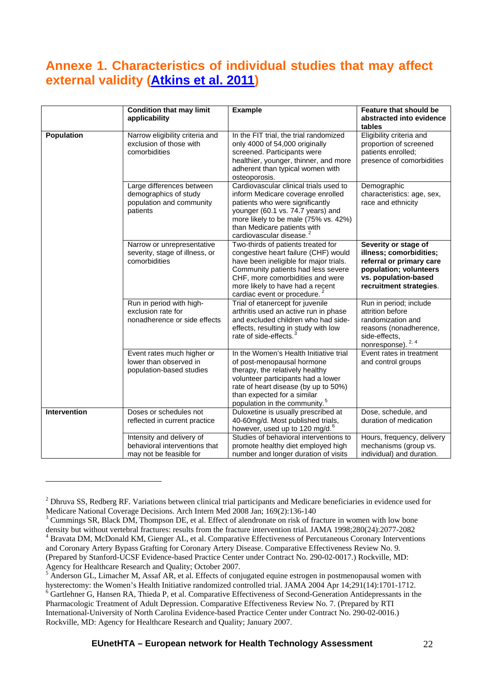# <span id="page-21-0"></span>**Annexe 1. Characteristics of individual studies that may affect external validity ([Atkins et al. 2011\)](http://www.effectivehealthcare.ahrq.gov/ehc/products/272/603/Methods%20Guide--Atkins--01-03-2011KM.pdf)**

<span id="page-21-4"></span>

|                   | <b>Condition that may limit</b><br>applicability                                           | <b>Example</b>                                                                                                                                                                                                                                                    | <b>Feature that should be</b><br>abstracted into evidence<br>tables                                                                                      |
|-------------------|--------------------------------------------------------------------------------------------|-------------------------------------------------------------------------------------------------------------------------------------------------------------------------------------------------------------------------------------------------------------------|----------------------------------------------------------------------------------------------------------------------------------------------------------|
| <b>Population</b> | Narrow eligibility criteria and<br>exclusion of those with<br>comorbidities                | In the FIT trial, the trial randomized<br>only 4000 of 54,000 originally<br>screened. Participants were<br>healthier, younger, thinner, and more<br>adherent than typical women with<br>osteoporosis.                                                             | Eligibility criteria and<br>proportion of screened<br>patients enrolled;<br>presence of comorbidities                                                    |
|                   | Large differences between<br>demographics of study<br>population and community<br>patients | Cardiovascular clinical trials used to<br>inform Medicare coverage enrolled<br>patients who were significantly<br>younger (60.1 vs. 74.7 years) and<br>more likely to be male (75% vs. 42%)<br>than Medicare patients with<br>cardiovascular disease.             | Demographic<br>characteristics: age, sex,<br>race and ethnicity                                                                                          |
|                   | Narrow or unrepresentative<br>severity, stage of illness, or<br>comorbidities              | Two-thirds of patients treated for<br>congestive heart failure (CHF) would<br>have been ineligible for major trials.<br>Community patients had less severe<br>CHF, more comorbidities and were<br>more likely to have had a recent<br>cardiac event or procedure. | Severity or stage of<br>illness; comorbidities;<br>referral or primary care<br>population; volunteers<br>vs. population-based<br>recruitment strategies. |
|                   | Run in period with high-<br>exclusion rate for<br>nonadherence or side effects             | Trial of etanercept for juvenile<br>arthritis used an active run in phase<br>and excluded children who had side-<br>effects, resulting in study with low<br>rate of side-effects.                                                                                 | Run in period; include<br>attrition before<br>randomization and<br>reasons (nonadherence,<br>side-effects,<br>nonresponse). 2, 4                         |
|                   | Event rates much higher or<br>lower than observed in<br>population-based studies           | In the Women's Health Initiative trial<br>of post-menopausal hormone<br>therapy, the relatively healthy<br>volunteer participants had a lower<br>rate of heart disease (by up to 50%)<br>than expected for a similar<br>population in the community. <sup>5</sup> | Event rates in treatment<br>and control groups                                                                                                           |
| Intervention      | Doses or schedules not<br>reflected in current practice                                    | Duloxetine is usually prescribed at<br>40-60mg/d. Most published trials,<br>however, used up to 120 mg/d. <sup>6</sup>                                                                                                                                            | Dose, schedule, and<br>duration of medication                                                                                                            |
|                   | Intensity and delivery of<br>behavioral interventions that<br>may not be feasible for      | Studies of behavioral interventions to<br>promote healthy diet employed high<br>number and longer duration of visits                                                                                                                                              | Hours, frequency, delivery<br>mechanisms (group vs.<br>individual) and duration.                                                                         |

 $\overline{a}$ 

<span id="page-21-1"></span> $2$  Dhruva SS, Redberg RF. Variations between clinical trial participants and Medicare beneficiaries in evidence used for Medicare National Coverage Decisions. Arch Intern Med 2008 Jan; 169(2):136-140

<span id="page-21-2"></span><sup>&</sup>lt;sup>3</sup> Cummings SR, Black DM, Thompson DE, et al. Effect of alendronate on risk of fracture in women with low bone density but without vertebral fractures: results from the fracture intervention trial. JAMA 1998;280(24):2077-2082

<span id="page-21-3"></span>Bravata DM, McDonald KM, Gienger AL, et al. Comparative Effectiveness of Percutaneous Coronary Interventions and Coronary Artery Bypass Grafting for Coronary Artery Disease. Comparative Effectiveness Review No. 9. (Prepared by Stanford-UCSF Evidence-based Practice Center under Contract No. 290-02-0017.) Rockville, MD: Agency for Healthcare Research and Quality; October 2007.

<span id="page-21-5"></span><sup>&</sup>lt;sup>5</sup> Anderson GL, Limacher M, Assaf AR, et al. Effects of conjugated equine estrogen in postmenopausal women with hysterectomy: the Women's Health Initiative randomized controlled trial. JAMA 2004 Apr 14;291(14):1701-1712. <sup>6</sup> Gartlehner G, Hansen RA, Thieda P, et al. Comparative Effectiveness of Second-Generation Antidepressants in the Pharmacologic Treatment of Adult Depression. Comparative Effectiveness Review No. 7. (Prepared by RTI

<span id="page-21-6"></span>International-University of North Carolina Evidence-based Practice Center under Contract No. 290-02-0016.) Rockville, MD: Agency for Healthcare Research and Quality; January 2007.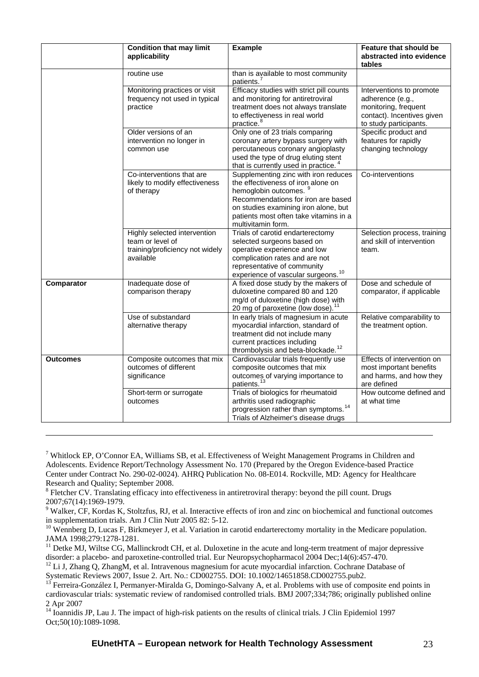|                 | <b>Condition that may limit</b><br>applicability                                                 | <b>Example</b>                                                                                                                                                                                                                                   | Feature that should be<br>abstracted into evidence<br>tables                                                                 |
|-----------------|--------------------------------------------------------------------------------------------------|--------------------------------------------------------------------------------------------------------------------------------------------------------------------------------------------------------------------------------------------------|------------------------------------------------------------------------------------------------------------------------------|
|                 | routine use                                                                                      | than is available to most community<br>patients. <sup>7</sup>                                                                                                                                                                                    |                                                                                                                              |
|                 | Monitoring practices or visit<br>frequency not used in typical<br>practice                       | Efficacy studies with strict pill counts<br>and monitoring for antiretroviral<br>treatment does not always translate<br>to effectiveness in real world<br>practice. <sup>8</sup>                                                                 | Interventions to promote<br>adherence (e.g.,<br>monitoring, frequent<br>contact). Incentives given<br>to study participants. |
|                 | Older versions of an<br>intervention no longer in<br>common use                                  | Only one of 23 trials comparing<br>coronary artery bypass surgery with<br>percutaneous coronary angioplasty<br>used the type of drug eluting stent<br>that is currently used in practice. <sup>4</sup>                                           | Specific product and<br>features for rapidly<br>changing technology                                                          |
|                 | Co-interventions that are<br>likely to modify effectiveness<br>of therapy                        | Supplementing zinc with iron reduces<br>the effectiveness of iron alone on<br>hemoglobin outcomes.<br>Recommendations for iron are based<br>on studies examining iron alone, but<br>patients most often take vitamins in a<br>multivitamin form. | Co-interventions                                                                                                             |
|                 | Highly selected intervention<br>team or level of<br>training/proficiency not widely<br>available | Trials of carotid endarterectomy<br>selected surgeons based on<br>operative experience and low<br>complication rates and are not<br>representative of community<br>experience of vascular surgeons. <sup>10</sup>                                | Selection process, training<br>and skill of intervention<br>team.                                                            |
| Comparator      | Inadequate dose of<br>comparison therapy                                                         | A fixed dose study by the makers of<br>duloxetine compared 80 and 120<br>mg/d of duloxetine (high dose) with<br>20 mg of paroxetine (low dose). <sup>11</sup>                                                                                    | Dose and schedule of<br>comparator, if applicable                                                                            |
|                 | Use of substandard<br>alternative therapy                                                        | In early trials of magnesium in acute<br>myocardial infarction, standard of<br>treatment did not include many<br>current practices including<br>thrombolysis and beta-blockade. <sup>12</sup>                                                    | Relative comparability to<br>the treatment option.                                                                           |
| <b>Outcomes</b> | Composite outcomes that mix<br>outcomes of different<br>significance                             | Cardiovascular trials frequently use<br>composite outcomes that mix<br>outcomes of varying importance to<br>patients. <sup>13</sup>                                                                                                              | Effects of intervention on<br>most important benefits<br>and harms, and how they<br>are defined                              |
|                 | Short-term or surrogate<br>outcomes                                                              | Trials of biologics for rheumatoid<br>arthritis used radiographic<br>progression rather than symptoms. <sup>14</sup><br>Trials of Alzheimer's disease drugs                                                                                      | How outcome defined and<br>at what time                                                                                      |

<span id="page-22-0"></span><sup>&</sup>lt;sup>7</sup> Whitlock EP, O'Connor EA, Williams SB, et al. Effectiveness of Weight Management Programs in Children and Adolescents. Evidence Report/Technology Assessment No. 170 (Prepared by the Oregon Evidence-based Practice Center under Contract No. 290-02-0024). AHRQ Publication No. 08-E014. Rockville, MD: Agency for Healthcare Research and Quality; September 2008.

1

<span id="page-22-1"></span><sup>&</sup>lt;sup>8</sup> Fletcher CV. Translating efficacy into effectiveness in antiretroviral therapy: beyond the pill count. Drugs

<span id="page-22-2"></span><sup>2007;67(14):1969-1979.&</sup>lt;br><sup>9</sup> Walker, CF, Kordas K, Stoltzfus, RJ, et al. Interactive effects of iron and zinc on biochemical and functional outcomes in supplementation trials. Am J Clin Nutr 2005 82: 5-12.

<span id="page-22-3"></span> $10$  Wennberg D, Lucas F, Birkmeyer J, et al. Variation in carotid endarterectomy mortality in the Medicare population. JAMA 1998;279:1278-1281.

<span id="page-22-4"></span><sup>&</sup>lt;sup>11</sup> Detke MJ, Wiltse CG, Mallinckrodt CH, et al. Duloxetine in the acute and long-term treatment of major depressive disorder: a placebo- and paroxetine-controlled trial. Eur Neuropsychopharmacol 2004 Dec;14(6):457-470.

<span id="page-22-5"></span><sup>&</sup>lt;sup>12</sup> Li J, Zhang Q, ZhangM, et al. Intravenous magnesium for acute myocardial infarction. Cochrane Database of Systematic Reviews 2007, Issue 2. Art. No.: CD002755. DOI: 10.1002/14651858.CD002755.pub2.

<span id="page-22-6"></span> $^{13}$  Ferreira-González I, Permanyer-Miralda G, Domingo-Salvany A, et al. Problems with use of composite end points in cardiovascular trials: systematic review of randomised controlled trials. BMJ 2007;334;786; originally published online 2 Apr 2007

<span id="page-22-7"></span><sup>&</sup>lt;sup>14</sup> Ioannidis JP, Lau J. The impact of high-risk patients on the results of clinical trials. J Clin Epidemiol 1997 Oct;50(10):1089-1098.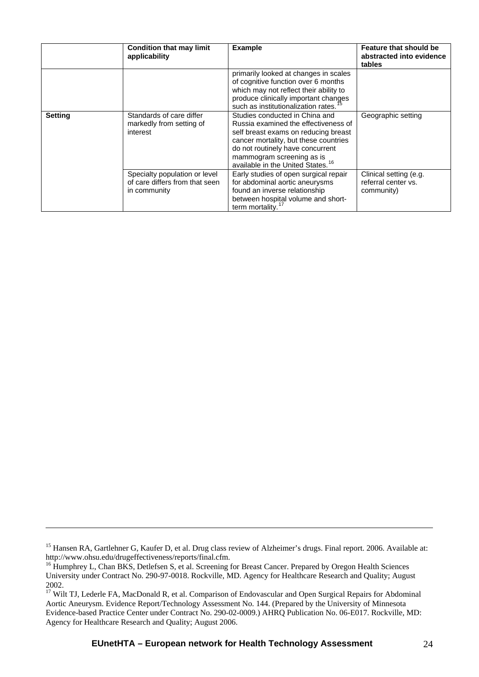|                | <b>Condition that may limit</b><br>applicability                                | <b>Example</b>                                                                                                                                                                                                                                                            | Feature that should be<br>abstracted into evidence<br>tables |
|----------------|---------------------------------------------------------------------------------|---------------------------------------------------------------------------------------------------------------------------------------------------------------------------------------------------------------------------------------------------------------------------|--------------------------------------------------------------|
|                |                                                                                 | primarily looked at changes in scales<br>of cognitive function over 6 months<br>which may not reflect their ability to<br>produce clinically important changes<br>such as institutionalization rates. <sup>15</sup>                                                       |                                                              |
| <b>Setting</b> | Standards of care differ<br>markedly from setting of<br>interest                | Studies conducted in China and<br>Russia examined the effectiveness of<br>self breast exams on reducing breast<br>cancer mortality, but these countries<br>do not routinely have concurrent<br>mammogram screening as is<br>available in the United States. <sup>16</sup> | Geographic setting                                           |
|                | Specialty population or level<br>of care differs from that seen<br>in community | Early studies of open surgical repair<br>for abdominal aortic aneurysms<br>found an inverse relationship<br>between hospital volume and short-<br>term mortality.                                                                                                         | Clinical setting (e.g.<br>referral center vs.<br>community)  |

1

<span id="page-23-0"></span><sup>&</sup>lt;sup>15</sup> Hansen RA, Gartlehner G, Kaufer D, et al. Drug class review of Alzheimer's drugs. Final report. 2006. Available at: http://www.ohsu.edu/drugeffectiveness/reports/final.cfm.

<span id="page-23-1"></span><sup>&</sup>lt;sup>16</sup> Humphrey L, Chan BKS, Detlefsen S, et al. Screening for Breast Cancer. Prepared by Oregon Health Sciences University under Contract No. 290-97-0018. Rockville, MD. Agency for Healthcare Research and Quality; August 2002.

<span id="page-23-2"></span><sup>&</sup>lt;sup>17</sup> Wilt TJ, Lederle FA, MacDonald R, et al. Comparison of Endovascular and Open Surgical Repairs for Abdominal Aortic Aneurysm. Evidence Report/Technology Assessment No. 144. (Prepared by the University of Minnesota Evidence-based Practice Center under Contract No. 290-02-0009.) AHRQ Publication No. 06-E017. Rockville, MD: Agency for Healthcare Research and Quality; August 2006.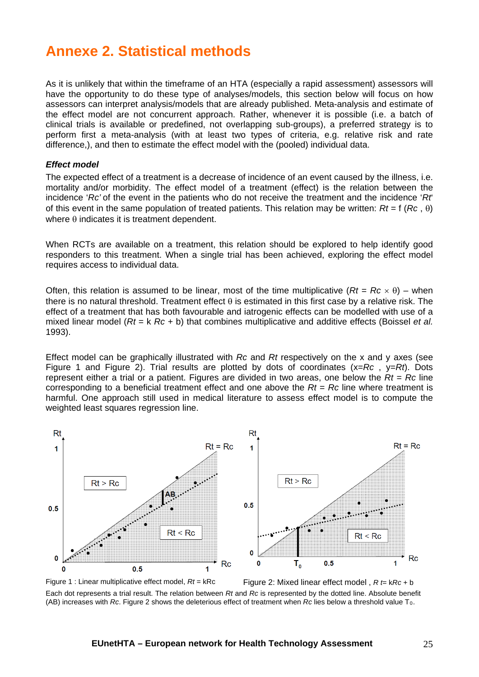# <span id="page-24-0"></span>**Annexe 2. Statistical methods**

As it is unlikely that within the timeframe of an HTA (especially a rapid assessment) assessors will have the opportunity to do these type of analyses/models, this section below will focus on how assessors can interpret analysis/models that are already published. Meta-analysis and estimate of the effect model are not concurrent approach. Rather, whenever it is possible (i.e. a batch of clinical trials is available or predefined, not overlapping sub-groups), a preferred strategy is to perform first a meta-analysis (with at least two types of criteria, e.g. relative risk and rate difference,), and then to estimate the effect model with the (pooled) individual data.

#### *Effect model*

The expected effect of a treatment is a decrease of incidence of an event caused by the illness, i.e. mortality and/or morbidity. The effect model of a treatment (effect) is the relation between the incidence '*Rc'* of the event in the patients who do not receive the treatment and the incidence '*Rt*' of this event in the same population of treated patients. This relation may be written:  $Rt = f(Rc, \theta)$ where  $\theta$  indicates it is treatment dependent.

When RCTs are available on a treatment, this relation should be explored to help identify good responders to this treatment. When a single trial has been achieved, exploring the effect model requires access to individual data.

Often, this relation is assumed to be linear, most of the time multiplicative  $(Rt = Rc \times \theta)$  – when there is no natural threshold. Treatment effect  $\theta$  is estimated in this first case by a relative risk. The effect of a treatment that has both favourable and iatrogenic effects can be modelled with use of a mixed linear model (*Rt* = k *Rc* + b) that combines multiplicative and additive effects (Boissel *et al.* 1993).

Effect model can be graphically illustrated with *Rc* and *Rt* respectively on the x and y axes (see Figure 1 and Figure 2). Trial results are plotted by dots of coordinates (x=*Rc* , y=*Rt*). Dots represent either a trial or a patient. Figures are divided in two areas, one below the *Rt* = *Rc* line corresponding to a beneficial treatment effect and one above the *Rt* = *Rc* line where treatment is harmful. One approach still used in medical literature to assess effect model is to compute the weighted least squares regression line.



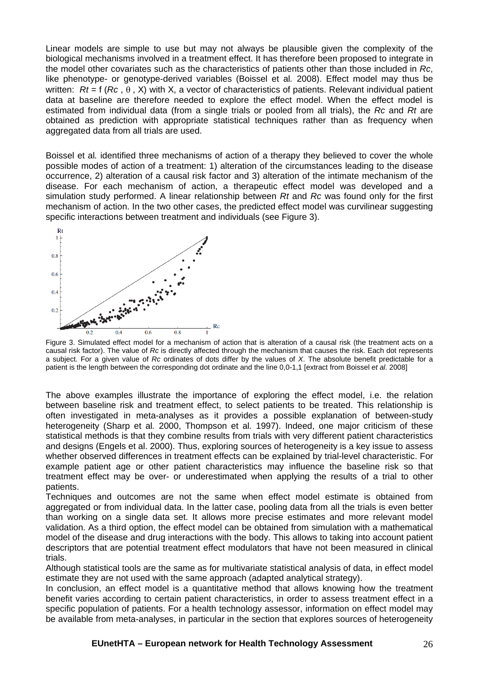Linear models are simple to use but may not always be plausible given the complexity of the biological mechanisms involved in a treatment effect. It has therefore been proposed to integrate in the model other covariates such as the characteristics of patients other than those included in *Rc*, like phenotype- or genotype-derived variables (Boissel et al*.* 2008). Effect model may thus be written:  $Rt = f(Rc, \theta, X)$  with X, a vector of characteristics of patients. Relevant individual patient data at baseline are therefore needed to explore the effect model. When the effect model is estimated from individual data (from a single trials or pooled from all trials), the *Rc* and *Rt* are obtained as prediction with appropriate statistical techniques rather than as frequency when aggregated data from all trials are used.

Boissel et al*.* identified three mechanisms of action of a therapy they believed to cover the whole possible modes of action of a treatment: 1) alteration of the circumstances leading to the disease occurrence, 2) alteration of a causal risk factor and 3) alteration of the intimate mechanism of the disease. For each mechanism of action, a therapeutic effect model was developed and a simulation study performed. A linear relationship between *Rt* and *Rc* was found only for the first mechanism of action. In the two other cases, the predicted effect model was curvilinear suggesting specific interactions between treatment and individuals (see Figure 3).



Figure 3. Simulated effect model for a mechanism of action that is alteration of a causal risk (the treatment acts on a causal risk factor). The value of *Rc* is directly affected through the mechanism that causes the risk. Each dot represents a subject. For a given value of *Rc* ordinates of dots differ by the values of *X*. The absolute benefit predictable for a patient is the length between the corresponding dot ordinate and the line 0,0-1,1 [extract from Boissel *et al*. 2008]

The above examples illustrate the importance of exploring the effect model, i.e. the relation between baseline risk and treatment effect, to select patients to be treated. This relationship is often investigated in meta-analyses as it provides a possible explanation of between-study heterogeneity (Sharp et al*.* 2000, Thompson et al*.* 1997). Indeed, one major criticism of these statistical methods is that they combine results from trials with very different patient characteristics and designs (Engels et al. 2000). Thus, exploring sources of heterogeneity is a key issue to assess whether observed differences in treatment effects can be explained by trial-level characteristic. For example patient age or other patient characteristics may influence the baseline risk so that treatment effect may be over- or underestimated when applying the results of a trial to other patients.

Techniques and outcomes are not the same when effect model estimate is obtained from aggregated or from individual data. In the latter case, pooling data from all the trials is even better than working on a single data set. It allows more precise estimates and more relevant model validation. As a third option, the effect model can be obtained from simulation with a mathematical model of the disease and drug interactions with the body. This allows to taking into account patient descriptors that are potential treatment effect modulators that have not been measured in clinical trials.

Although statistical tools are the same as for multivariate statistical analysis of data, in effect model estimate they are not used with the same approach (adapted analytical strategy).

In conclusion, an effect model is a quantitative method that allows knowing how the treatment benefit varies according to certain patient characteristics, in order to assess treatment effect in a specific population of patients. For a health technology assessor, information on effect model may be available from meta-analyses, in particular in the section that explores sources of heterogeneity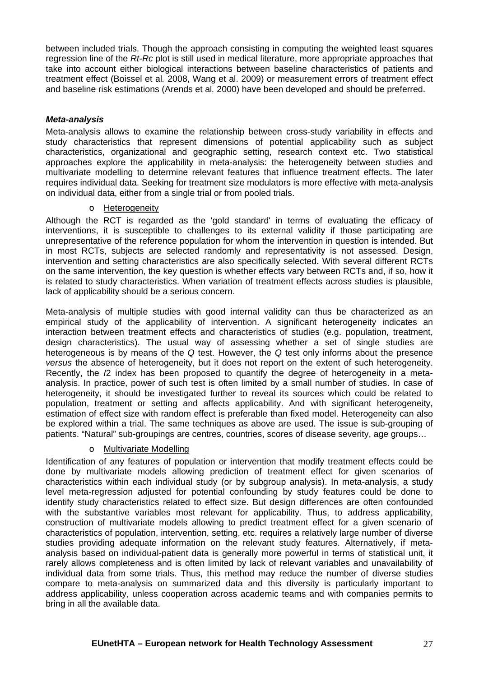between included trials. Though the approach consisting in computing the weighted least squares regression line of the *Rt*-*Rc* plot is still used in medical literature, more appropriate approaches that take into account either biological interactions between baseline characteristics of patients and treatment effect (Boissel et al*.* 2008, Wang et al. 2009) or measurement errors of treatment effect and baseline risk estimations (Arends et al*.* 2000) have been developed and should be preferred.

### *Meta-analysis*

Meta-analysis allows to examine the relationship between cross-study variability in effects and study characteristics that represent dimensions of potential applicability such as subject characteristics, organizational and geographic setting, research context etc. Two statistical approaches explore the applicability in meta-analysis: the heterogeneity between studies and multivariate modelling to determine relevant features that influence treatment effects. The later requires individual data. Seeking for treatment size modulators is more effective with meta-analysis on individual data, either from a single trial or from pooled trials.

### o Heterogeneity

Although the RCT is regarded as the 'gold standard' in terms of evaluating the efficacy of interventions, it is susceptible to challenges to its external validity if those participating are unrepresentative of the reference population for whom the intervention in question is intended. But in most RCTs, subjects are selected randomly and representativity is not assessed. Design, intervention and setting characteristics are also specifically selected. With several different RCTs on the same intervention, the key question is whether effects vary between RCTs and, if so, how it is related to study characteristics. When variation of treatment effects across studies is plausible, lack of applicability should be a serious concern.

Meta-analysis of multiple studies with good internal validity can thus be characterized as an empirical study of the applicability of intervention. A significant heterogeneity indicates an interaction between treatment effects and characteristics of studies (e.g. population, treatment, design characteristics). The usual way of assessing whether a set of single studies are heterogeneous is by means of the *Q* test. However, the *Q* test only informs about the presence *versus* the absence of heterogeneity, but it does not report on the extent of such heterogeneity. Recently, the *I*2 index has been proposed to quantify the degree of heterogeneity in a metaanalysis. In practice, power of such test is often limited by a small number of studies. In case of heterogeneity, it should be investigated further to reveal its sources which could be related to population, treatment or setting and affects applicability. And with significant heterogeneity, estimation of effect size with random effect is preferable than fixed model. Heterogeneity can also be explored within a trial. The same techniques as above are used. The issue is sub-grouping of patients. "Natural" sub-groupings are centres, countries, scores of disease severity, age groups…

### o Multivariate Modelling

Identification of any features of population or intervention that modify treatment effects could be done by multivariate models allowing prediction of treatment effect for given scenarios of characteristics within each individual study (or by subgroup analysis). In meta-analysis, a study level meta-regression adjusted for potential confounding by study features could be done to identify study characteristics related to effect size. But design differences are often confounded with the substantive variables most relevant for applicability. Thus, to address applicability, construction of multivariate models allowing to predict treatment effect for a given scenario of characteristics of population, intervention, setting, etc. requires a relatively large number of diverse studies providing adequate information on the relevant study features. Alternatively, if metaanalysis based on individual-patient data is generally more powerful in terms of statistical unit, it rarely allows completeness and is often limited by lack of relevant variables and unavailability of individual data from some trials. Thus, this method may reduce the number of diverse studies compare to meta-analysis on summarized data and this diversity is particularly important to address applicability, unless cooperation across academic teams and with companies permits to bring in all the available data.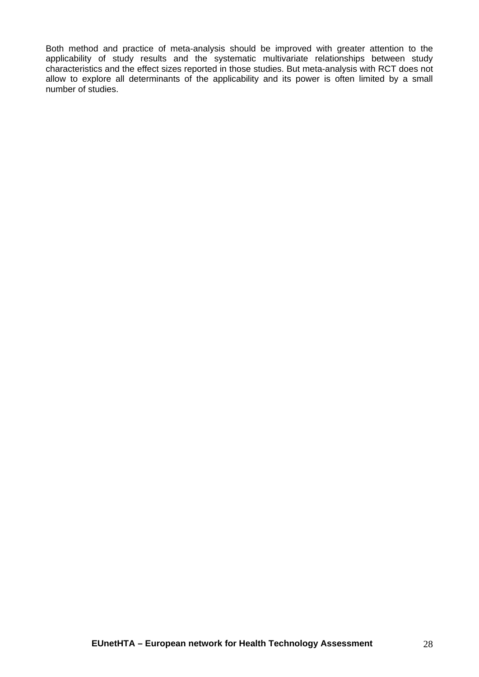Both method and practice of meta-analysis should be improved with greater attention to the applicability of study results and the systematic multivariate relationships between study characteristics and the effect sizes reported in those studies. But meta-analysis with RCT does not allow to explore all determinants of the applicability and its power is often limited by a small number of studies.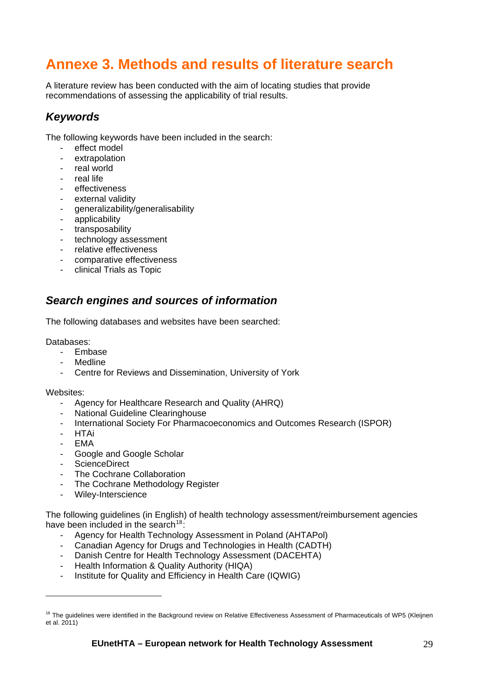# <span id="page-28-0"></span>**Annexe 3. Methods and results of literature search**

A literature review has been conducted with the aim of locating studies that provide recommendations of assessing the applicability of trial results.

## <span id="page-28-1"></span>*Keywords*

The following keywords have been included in the search:

- effect model
- extrapolation
- real world
- real life
- effectiveness
- external validity
- generalizability/generalisability
- applicability
- transposability
- technology assessment
- relative effectiveness
- comparative effectiveness
- clinical Trials as Topic

## <span id="page-28-2"></span>*Search engines and sources of information*

The following databases and websites have been searched:

Databases:

- Embase
- **Medline**
- Centre for Reviews and Dissemination, University of York

Websites:

- Agency for Healthcare Research and Quality (AHRQ)
- National Guideline Clearinghouse
- International Society For Pharmacoeconomics and Outcomes Research (ISPOR)
- HTAi
- EMA

 $\overline{a}$ 

- Google and Google Scholar
- ScienceDirect
- The Cochrane Collaboration
- The Cochrane Methodology Register
- Wiley-Interscience

The following guidelines (in English) of health technology assessment/reimbursement agencies have been included in the search<sup>[18](#page-28-3):</sup>

- Agency for Health Technology Assessment in Poland (AHTAPol)
- Canadian Agency for Drugs and Technologies in Health (CADTH)
- Danish Centre for Health Technology Assessment (DACEHTA)
- Health Information & Quality Authority (HIQA)
- Institute for Quality and Efficiency in Health Care (IQWIG)

<span id="page-28-3"></span><sup>&</sup>lt;sup>18</sup> The guidelines were identified in the Background review on Relative Effectiveness Assessment of Pharmaceuticals of WP5 (Kleijnen et al. 2011)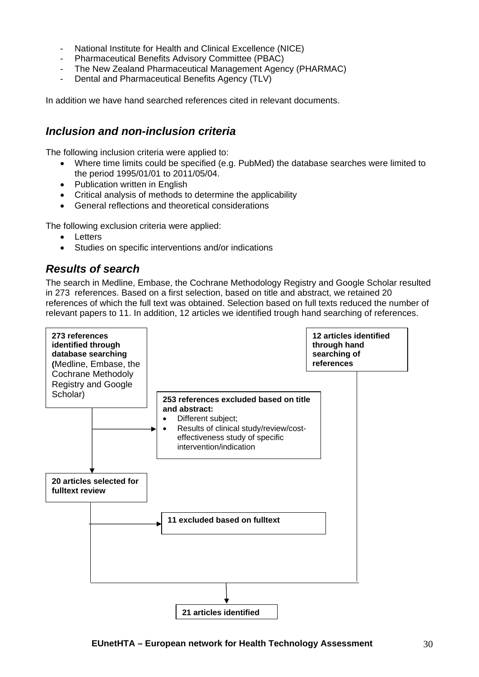- National Institute for Health and Clinical Excellence (NICE)
- Pharmaceutical Benefits Advisory Committee (PBAC)
- The New Zealand Pharmaceutical Management Agency (PHARMAC)
- Dental and Pharmaceutical Benefits Agency (TLV)

In addition we have hand searched references cited in relevant documents.

## <span id="page-29-0"></span>*Inclusion and non-inclusion criteria*

The following inclusion criteria were applied to:

- Where time limits could be specified (e.g. PubMed) the database searches were limited to the period 1995/01/01 to 2011/05/04.
- Publication written in English
- Critical analysis of methods to determine the applicability
- General reflections and theoretical considerations

The following exclusion criteria were applied:

- Letters
- Studies on specific interventions and/or indications

## <span id="page-29-1"></span>*Results of search*

The search in Medline, Embase, the Cochrane Methodology Registry and Google Scholar resulted in 273 references. Based on a first selection, based on title and abstract, we retained 20 references of which the full text was obtained. Selection based on full texts reduced the number of relevant papers to 11. In addition, 12 articles we identified trough hand searching of references.

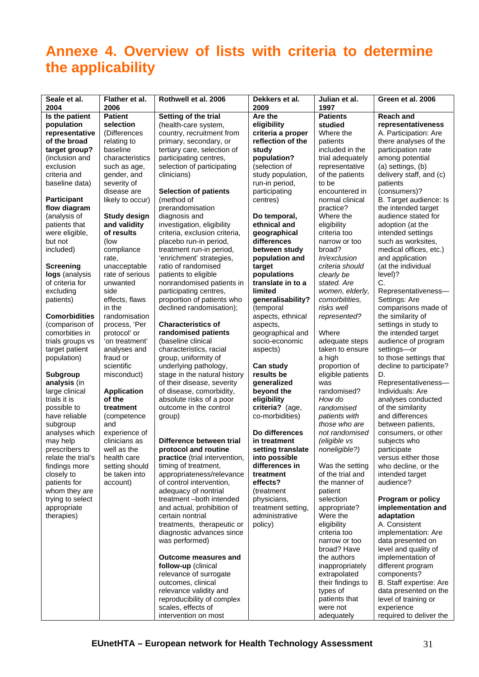# <span id="page-30-0"></span>**Annexe 4. Overview of lists with criteria to determine the applicability**

| Seale et al.<br>2004               | Flather et al.<br>2006     | Rothwell et al. 2006          | Dekkers et al.<br>2009          | Julian et al.<br>1997 | Green et al. 2006        |
|------------------------------------|----------------------------|-------------------------------|---------------------------------|-----------------------|--------------------------|
| Is the patient                     | <b>Patient</b>             | Setting of the trial          | Are the                         | <b>Patients</b>       | <b>Reach and</b>         |
| population                         | selection                  | (health-care system,          | eligibility                     | studied               | representativeness       |
| representative                     | (Differences               | country, recruitment from     | criteria a proper               | Where the             | A. Participation: Are    |
| of the broad                       | relating to                | primary, secondary, or        | reflection of the               | patients              | there analyses of the    |
| target group?                      | baseline                   | tertiary care, selection of   | study                           | included in the       | participation rate       |
| (inclusion and                     | characteristics            | participating centres,        | population?                     | trial adequately      | among potential          |
| exclusion                          | such as age,               | selection of participating    | (selection of                   | representative        | (a) settings, (b)        |
| criteria and                       |                            | clinicians)                   |                                 | of the patients       | delivery staff, and (c)  |
|                                    | gender, and                |                               | study population,               | to be                 |                          |
| baseline data)                     | severity of<br>disease are | <b>Selection of patients</b>  | run-in period,<br>participating | encountered in        | patients<br>(consumers)? |
|                                    |                            |                               |                                 |                       |                          |
| <b>Participant</b><br>flow diagram | likely to occur)           | (method of                    | centres)                        | normal clinical       | B. Target audience: Is   |
|                                    |                            | prerandomisation              |                                 | practice?             | the intended target      |
| (analysis of                       | <b>Study design</b>        | diagnosis and                 | Do temporal,                    | Where the             | audience stated for      |
| patients that                      | and validity               | investigation, eligibility    | ethnical and                    | eligibility           | adoption (at the         |
| were eligible,                     | of results                 | criteria, exclusion criteria, | geographical                    | criteria too          | intended settings        |
| but not                            | (low                       | placebo run-in period,        | differences                     | narrow or too         | such as worksites,       |
| included)                          | compliance                 | treatment run-in period,      | between study                   | broad?                | medical offices, etc.)   |
|                                    | rate,                      | 'enrichment' strategies,      | population and                  | In/exclusion          | and application          |
| Screening                          | unacceptable               | ratio of randomised           | target                          | criteria should       | (at the individual       |
| logs (analysis                     | rate of serious            | patients to eligible          | populations                     | clearly be            | level)?                  |
| of criteria for                    | unwanted                   | nonrandomised patients in     | translate in to a               | stated. Are           | C.                       |
| excluding                          | side                       | participating centres,        | limited                         | women, elderly,       | Representativeness-      |
| patients)                          | effects, flaws             | proportion of patients who    | generalisability?               | comorbitities.        | Settings: Are            |
|                                    | in the                     | declined randomisation);      | (temporal                       | risks well            | comparisons made of      |
| <b>Comorbidities</b>               | randomisation              |                               | aspects, ethnical               | represented?          | the similarity of        |
| (comparison of                     | process, 'Per              | <b>Characteristics of</b>     | aspects,                        |                       | settings in study to     |
| comorbities in                     | protocol' or               | randomised patients           | geographical and                | Where                 | the intended target      |
| trials groups vs                   | 'on treatment'             | (baseline clinical            | socio-economic                  | adequate steps        | audience of program      |
| target patient                     | analyses and               | characteristics, racial       | aspects)                        | taken to ensure       | settings-or              |
| population)                        | fraud or                   | group, uniformity of          |                                 | a high                | to those settings that   |
|                                    | scientific                 | underlying pathology,         | Can study                       | proportion of         | decline to participate?  |
| <b>Subgroup</b>                    | misconduct)                | stage in the natural history  | results be                      | eligible patients     | D.                       |
| analysis (in                       |                            | of their disease, severity    | generalized                     | was                   | Representativeness-      |
| large clinical                     | <b>Application</b>         | of disease, comorbidity,      | beyond the                      | randomised?           | Individuals: Are         |
| trials it is                       | of the                     | absolute risks of a poor      | eligibility                     | How do                | analyses conducted       |
| possible to                        | treatment                  | outcome in the control        | criteria? (age,                 | randomised            | of the similarity        |
| have reliable                      | (competence)               | group)                        | co-morbidities)                 | patients with         | and differences          |
| subgroup                           | and                        |                               |                                 | those who are         | between patients,        |
| analyses which                     | experience of              |                               | Do differences                  | not randomised        | consumers, or other      |
| may help                           | clinicians as              | Difference between trial      | in treatment                    | (eligible vs          | subjects who             |
| prescribers to                     | well as the                | protocol and routine          | setting translate               | noneligible?)         | participate              |
| relate the trial's                 | health care                | practice (trial intervention, | into possible                   |                       | versus either those      |
| findings more                      | setting should             | timing of treatment,          | differences in                  | Was the setting       | who decline, or the      |
| closely to                         | be taken into              | appropriateness/relevance     | treatment                       | of the trial and      | intended target          |
| patients for                       | account)                   | of control intervention,      | effects?                        | the manner of         | audience?                |
| whom they are                      |                            | adequacy of nontrial          | (treatment                      | patient               |                          |
|                                    |                            | treatment-both intended       |                                 | selection             |                          |
| trying to select                   |                            | and actual, prohibition of    | physicians,                     |                       | Program or policy        |
| appropriate                        |                            |                               | treatment setting,              | appropriate?          | implementation and       |
| therapies)                         |                            | certain nontrial              | administrative                  | Were the              | adaptation               |
|                                    |                            | treatments, therapeutic or    | policy)                         | eligibility           | A. Consistent            |
|                                    |                            | diagnostic advances since     |                                 | criteria too          | implementation: Are      |
|                                    |                            | was performed)                |                                 | narrow or too         | data presented on        |
|                                    |                            |                               |                                 | broad? Have           | level and quality of     |
|                                    |                            | <b>Outcome measures and</b>   |                                 | the authors           | implementation of        |
|                                    |                            | follow-up (clinical           |                                 | inappropriately       | different program        |
|                                    |                            | relevance of surrogate        |                                 | extrapolated          | components?              |
|                                    |                            | outcomes, clinical            |                                 | their findings to     | B. Staff expertise: Are  |
|                                    |                            | relevance validity and        |                                 | types of              | data presented on the    |
|                                    |                            | reproducibility of complex    |                                 | patients that         | level of training or     |
|                                    |                            | scales, effects of            |                                 | were not              | experience               |
|                                    |                            | intervention on most          |                                 | adequately            | required to deliver the  |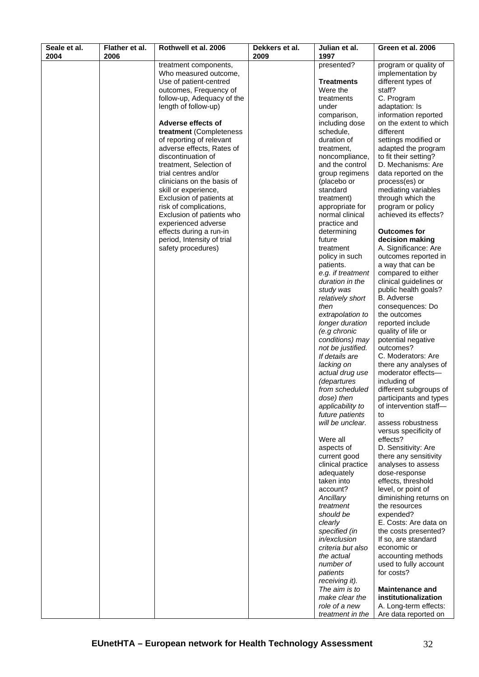| Seale et al.<br>2004 | Flather et al.<br>2006 | Rothwell et al. 2006                               | Dekkers et al.<br>2009 | Julian et al.<br>1997             | Green et al. 2006                      |
|----------------------|------------------------|----------------------------------------------------|------------------------|-----------------------------------|----------------------------------------|
|                      |                        | treatment components,                              |                        | presented?                        | program or quality of                  |
|                      |                        | Who measured outcome,                              |                        |                                   | implementation by                      |
|                      |                        | Use of patient-centred                             |                        | <b>Treatments</b>                 | different types of                     |
|                      |                        | outcomes, Frequency of                             |                        | Were the                          | staff?                                 |
|                      |                        | follow-up, Adequacy of the                         |                        | treatments                        | C. Program                             |
|                      |                        | length of follow-up)                               |                        | under                             | adaptation: Is                         |
|                      |                        |                                                    |                        | comparison,                       | information reported                   |
|                      |                        | Adverse effects of                                 |                        | including dose                    | on the extent to which                 |
|                      |                        | treatment (Completeness                            |                        | schedule,                         | different                              |
|                      |                        | of reporting of relevant                           |                        | duration of                       | settings modified or                   |
|                      |                        | adverse effects, Rates of                          |                        | treatment,                        | adapted the program                    |
|                      |                        | discontinuation of                                 |                        | noncompliance,                    | to fit their setting?                  |
|                      |                        | treatment, Selection of                            |                        | and the control                   | D. Mechanisms: Are                     |
|                      |                        | trial centres and/or<br>clinicians on the basis of |                        | group regimens                    | data reported on the                   |
|                      |                        | skill or experience,                               |                        | (placebo or<br>standard           | process(es) or<br>mediating variables  |
|                      |                        | Exclusion of patients at                           |                        | treatment)                        | through which the                      |
|                      |                        | risk of complications,                             |                        | appropriate for                   | program or policy                      |
|                      |                        | Exclusion of patients who                          |                        | normal clinical                   | achieved its effects?                  |
|                      |                        | experienced adverse                                |                        | practice and                      |                                        |
|                      |                        | effects during a run-in                            |                        | determining                       | <b>Outcomes for</b>                    |
|                      |                        | period, Intensity of trial                         |                        | future                            | decision making                        |
|                      |                        | safety procedures)                                 |                        | treatment                         | A. Significance: Are                   |
|                      |                        |                                                    |                        | policy in such                    | outcomes reported in                   |
|                      |                        |                                                    |                        | patients.                         | a way that can be                      |
|                      |                        |                                                    |                        | e.g. if treatment                 | compared to either                     |
|                      |                        |                                                    |                        | duration in the                   | clinical guidelines or                 |
|                      |                        |                                                    |                        | study was                         | public health goals?                   |
|                      |                        |                                                    |                        | relatively short                  | <b>B.</b> Adverse                      |
|                      |                        |                                                    |                        | then                              | consequences: Do                       |
|                      |                        |                                                    |                        | extrapolation to                  | the outcomes                           |
|                      |                        |                                                    |                        | longer duration<br>(e.g chronic   | reported include<br>quality of life or |
|                      |                        |                                                    |                        | conditions) may                   | potential negative                     |
|                      |                        |                                                    |                        | not be justified.                 | outcomes?                              |
|                      |                        |                                                    |                        | If details are                    | C. Moderators: Are                     |
|                      |                        |                                                    |                        | lacking on                        | there any analyses of                  |
|                      |                        |                                                    |                        | actual drug use                   | moderator effects-                     |
|                      |                        |                                                    |                        | <i>(departures</i>                | including of                           |
|                      |                        |                                                    |                        | from scheduled                    | different subgroups of                 |
|                      |                        |                                                    |                        | dose) then                        | participants and types                 |
|                      |                        |                                                    |                        | applicability to                  | of intervention staff-                 |
|                      |                        |                                                    |                        | future patients                   | to                                     |
|                      |                        |                                                    |                        | will be unclear.                  | assess robustness                      |
|                      |                        |                                                    |                        |                                   | versus specificity of                  |
|                      |                        |                                                    |                        | Were all                          | effects?                               |
|                      |                        |                                                    |                        | aspects of                        | D. Sensitivity: Are                    |
|                      |                        |                                                    |                        | current good<br>clinical practice | there any sensitivity                  |
|                      |                        |                                                    |                        | adequately                        | analyses to assess<br>dose-response    |
|                      |                        |                                                    |                        | taken into                        | effects, threshold                     |
|                      |                        |                                                    |                        | account?                          | level, or point of                     |
|                      |                        |                                                    |                        | Ancillary                         | diminishing returns on                 |
|                      |                        |                                                    |                        | treatment                         | the resources                          |
|                      |                        |                                                    |                        | should be                         | expended?                              |
|                      |                        |                                                    |                        | clearly                           | E. Costs: Are data on                  |
|                      |                        |                                                    |                        | specified (in                     | the costs presented?                   |
|                      |                        |                                                    |                        | in/exclusion                      | If so, are standard                    |
|                      |                        |                                                    |                        | criteria but also                 | economic or                            |
|                      |                        |                                                    |                        | the actual                        | accounting methods                     |
|                      |                        |                                                    |                        | number of                         | used to fully account                  |
|                      |                        |                                                    |                        | patients                          | for costs?                             |
|                      |                        |                                                    |                        | receiving it).<br>The aim is to   | <b>Maintenance and</b>                 |
|                      |                        |                                                    |                        | make clear the                    | institutionalization                   |
|                      |                        |                                                    |                        | role of a new                     | A. Long-term effects:                  |
|                      |                        |                                                    |                        | treatment in the                  | Are data reported on                   |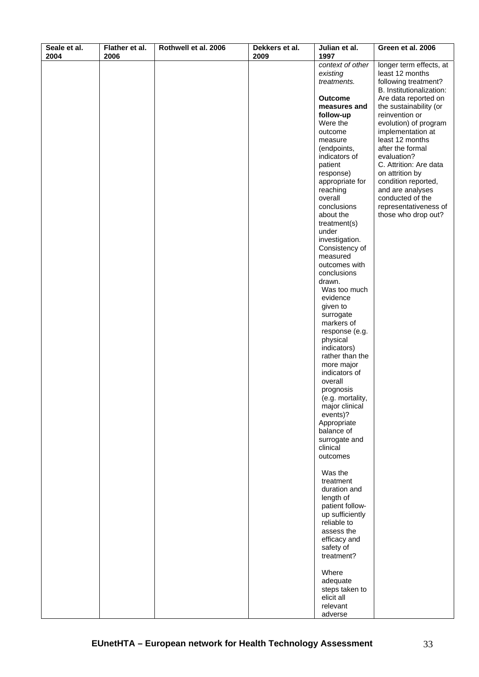| Seale et al. | Flather et al. | Rothwell et al. 2006 | Dekkers et al. | Julian et al.                | Green et al. 2006                          |
|--------------|----------------|----------------------|----------------|------------------------------|--------------------------------------------|
| 2004         | 2006           |                      | 2009           | 1997<br>context of other     | longer term effects, at                    |
|              |                |                      |                | existing                     | least 12 months                            |
|              |                |                      |                | treatments.                  | following treatment?                       |
|              |                |                      |                |                              | B. Institutionalization:                   |
|              |                |                      |                | <b>Outcome</b>               | Are data reported on                       |
|              |                |                      |                | measures and                 | the sustainability (or                     |
|              |                |                      |                | follow-up                    | reinvention or                             |
|              |                |                      |                | Were the<br>outcome          | evolution) of program<br>implementation at |
|              |                |                      |                | measure                      | least 12 months                            |
|              |                |                      |                | (endpoints,                  | after the formal                           |
|              |                |                      |                | indicators of                | evaluation?                                |
|              |                |                      |                | patient                      | C. Attrition: Are data                     |
|              |                |                      |                | response)                    | on attrition by                            |
|              |                |                      |                | appropriate for              | condition reported,                        |
|              |                |                      |                | reaching<br>overall          | and are analyses<br>conducted of the       |
|              |                |                      |                | conclusions                  | representativeness of                      |
|              |                |                      |                | about the                    | those who drop out?                        |
|              |                |                      |                | treatment(s)                 |                                            |
|              |                |                      |                | under                        |                                            |
|              |                |                      |                | investigation.               |                                            |
|              |                |                      |                | Consistency of<br>measured   |                                            |
|              |                |                      |                | outcomes with                |                                            |
|              |                |                      |                | conclusions                  |                                            |
|              |                |                      |                | drawn.                       |                                            |
|              |                |                      |                | Was too much                 |                                            |
|              |                |                      |                | evidence                     |                                            |
|              |                |                      |                | given to<br>surrogate        |                                            |
|              |                |                      |                | markers of                   |                                            |
|              |                |                      |                | response (e.g.               |                                            |
|              |                |                      |                | physical                     |                                            |
|              |                |                      |                | indicators)                  |                                            |
|              |                |                      |                | rather than the              |                                            |
|              |                |                      |                | more major<br>indicators of  |                                            |
|              |                |                      |                | overall                      |                                            |
|              |                |                      |                | prognosis                    |                                            |
|              |                |                      |                | (e.g. mortality,             |                                            |
|              |                |                      |                | major clinical               |                                            |
|              |                |                      |                | events)?                     |                                            |
|              |                |                      |                | Appropriate<br>balance of    |                                            |
|              |                |                      |                | surrogate and                |                                            |
|              |                |                      |                | clinical                     |                                            |
|              |                |                      |                | outcomes                     |                                            |
|              |                |                      |                |                              |                                            |
|              |                |                      |                | Was the<br>treatment         |                                            |
|              |                |                      |                | duration and                 |                                            |
|              |                |                      |                | length of                    |                                            |
|              |                |                      |                | patient follow-              |                                            |
|              |                |                      |                | up sufficiently              |                                            |
|              |                |                      |                | reliable to<br>assess the    |                                            |
|              |                |                      |                | efficacy and                 |                                            |
|              |                |                      |                | safety of                    |                                            |
|              |                |                      |                | treatment?                   |                                            |
|              |                |                      |                |                              |                                            |
|              |                |                      |                | Where                        |                                            |
|              |                |                      |                | adequate                     |                                            |
|              |                |                      |                | steps taken to<br>elicit all |                                            |
|              |                |                      |                | relevant                     |                                            |
|              |                |                      |                | adverse                      |                                            |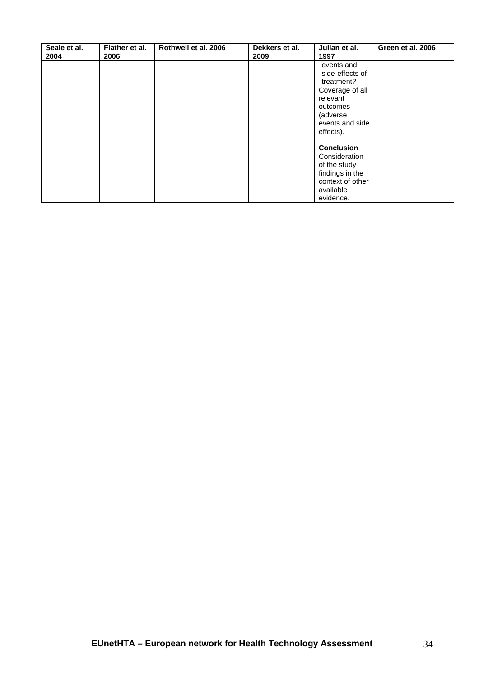| Seale et al.<br>2004 | Flather et al.<br>2006 | Rothwell et al. 2006 | Dekkers et al.<br>2009 | Julian et al.<br>1997                                                                                                              | Green et al. 2006 |
|----------------------|------------------------|----------------------|------------------------|------------------------------------------------------------------------------------------------------------------------------------|-------------------|
|                      |                        |                      |                        | events and<br>side-effects of<br>treatment?<br>Coverage of all<br>relevant<br>outcomes<br>(adverse<br>events and side<br>effects). |                   |
|                      |                        |                      |                        | <b>Conclusion</b><br>Consideration<br>of the study<br>findings in the<br>context of other<br>available<br>evidence.                |                   |